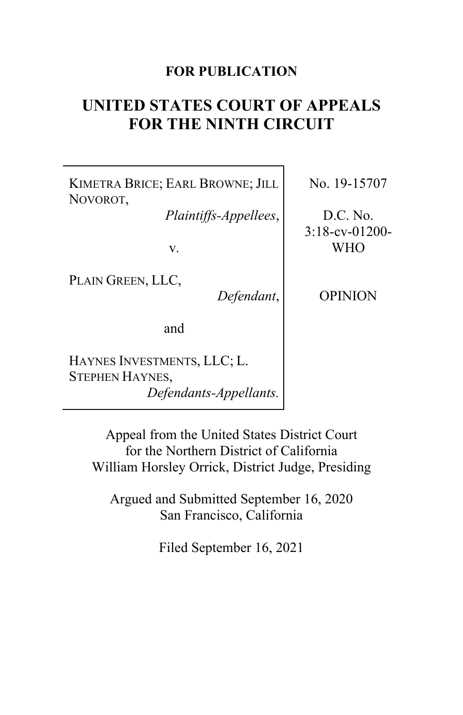### **FOR PUBLICATION**

# **UNITED STATES COURT OF APPEALS FOR THE NINTH CIRCUIT**

KIMETRA BRICE; EARL BROWNE; JILL NOVOROT,

*Plaintiffs-Appellees*,

v.

PLAIN GREEN, LLC,

*Defendant*,

OPINION

No. 19-15707

D.C. No. 3:18-cv-01200- WHO

and

HAYNES INVESTMENTS, LLC; L. STEPHEN HAYNES, *Defendants-Appellants.*

> Appeal from the United States District Court for the Northern District of California William Horsley Orrick, District Judge, Presiding

Argued and Submitted September 16, 2020 San Francisco, California

Filed September 16, 2021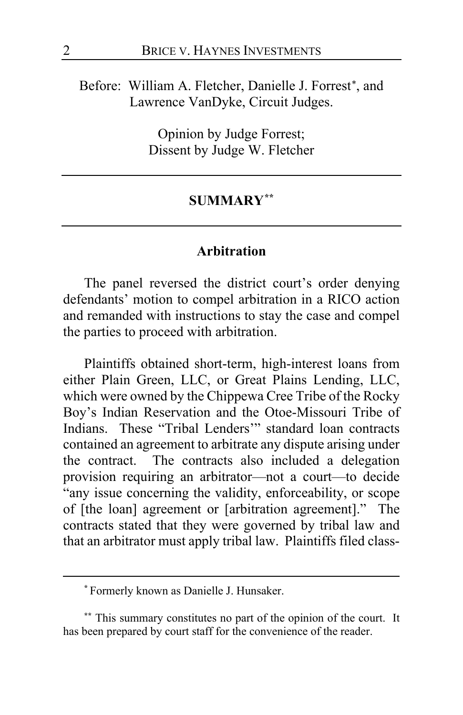Before: William A. Fletcher, Danielle J. Forrest\*, and Lawrence VanDyke, Circuit Judges.

> Opinion by Judge Forrest; Dissent by Judge W. Fletcher

#### **SUMMARY[\\*\\*](#page-1-1)**

#### **Arbitration**

The panel reversed the district court's order denying defendants' motion to compel arbitration in a RICO action and remanded with instructions to stay the case and compel the parties to proceed with arbitration.

Plaintiffs obtained short-term, high-interest loans from either Plain Green, LLC, or Great Plains Lending, LLC, which were owned by the Chippewa Cree Tribe of the Rocky Boy's Indian Reservation and the Otoe-Missouri Tribe of Indians. These "Tribal Lenders'" standard loan contracts contained an agreement to arbitrate any dispute arising under the contract. The contracts also included a delegation provision requiring an arbitrator—not a court—to decide "any issue concerning the validity, enforceability, or scope of [the loan] agreement or [arbitration agreement]." The contracts stated that they were governed by tribal law and that an arbitrator must apply tribal law. Plaintiffs filed class-

**<sup>\*</sup>** Formerly known as Danielle J. Hunsaker.

<span id="page-1-1"></span><span id="page-1-0"></span>**<sup>\*\*</sup>** This summary constitutes no part of the opinion of the court. It has been prepared by court staff for the convenience of the reader.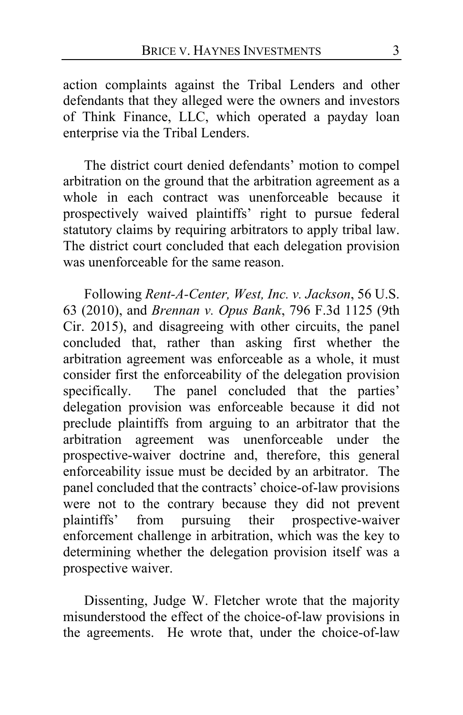action complaints against the Tribal Lenders and other defendants that they alleged were the owners and investors of Think Finance, LLC, which operated a payday loan enterprise via the Tribal Lenders.

The district court denied defendants' motion to compel arbitration on the ground that the arbitration agreement as a whole in each contract was unenforceable because it prospectively waived plaintiffs' right to pursue federal statutory claims by requiring arbitrators to apply tribal law. The district court concluded that each delegation provision was unenforceable for the same reason.

Following *Rent-A-Center, West, Inc. v. Jackson*, 56 U.S. 63 (2010), and *Brennan v. Opus Bank*, 796 F.3d 1125 (9th Cir. 2015), and disagreeing with other circuits, the panel concluded that, rather than asking first whether the arbitration agreement was enforceable as a whole, it must consider first the enforceability of the delegation provision specifically. The panel concluded that the parties' delegation provision was enforceable because it did not preclude plaintiffs from arguing to an arbitrator that the arbitration agreement was unenforceable under the prospective-waiver doctrine and, therefore, this general enforceability issue must be decided by an arbitrator. The panel concluded that the contracts' choice-of-law provisions were not to the contrary because they did not prevent plaintiffs' from pursuing their prospective-waiver enforcement challenge in arbitration, which was the key to determining whether the delegation provision itself was a prospective waiver.

Dissenting, Judge W. Fletcher wrote that the majority misunderstood the effect of the choice-of-law provisions in the agreements. He wrote that, under the choice-of-law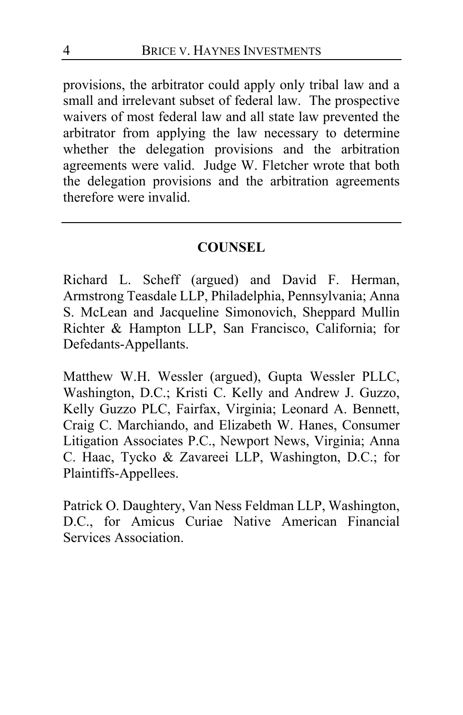provisions, the arbitrator could apply only tribal law and a small and irrelevant subset of federal law. The prospective waivers of most federal law and all state law prevented the arbitrator from applying the law necessary to determine whether the delegation provisions and the arbitration agreements were valid. Judge W. Fletcher wrote that both the delegation provisions and the arbitration agreements therefore were invalid.

#### **COUNSEL**

Richard L. Scheff (argued) and David F. Herman, Armstrong Teasdale LLP, Philadelphia, Pennsylvania; Anna S. McLean and Jacqueline Simonovich, Sheppard Mullin Richter & Hampton LLP, San Francisco, California; for Defedants-Appellants.

Matthew W.H. Wessler (argued), Gupta Wessler PLLC, Washington, D.C.; Kristi C. Kelly and Andrew J. Guzzo, Kelly Guzzo PLC, Fairfax, Virginia; Leonard A. Bennett, Craig C. Marchiando, and Elizabeth W. Hanes, Consumer Litigation Associates P.C., Newport News, Virginia; Anna C. Haac, Tycko & Zavareei LLP, Washington, D.C.; for Plaintiffs-Appellees.

Patrick O. Daughtery, Van Ness Feldman LLP, Washington, D.C., for Amicus Curiae Native American Financial Services Association.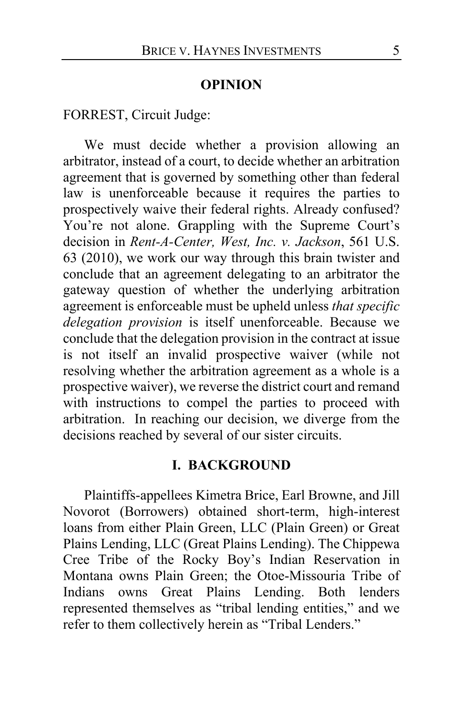#### **OPINION**

FORREST, Circuit Judge:

We must decide whether a provision allowing an arbitrator, instead of a court, to decide whether an arbitration agreement that is governed by something other than federal law is unenforceable because it requires the parties to prospectively waive their federal rights. Already confused? You're not alone. Grappling with the Supreme Court's decision in *Rent-A-Center, West, Inc. v. Jackson*, 561 U.S. 63 (2010), we work our way through this brain twister and conclude that an agreement delegating to an arbitrator the gateway question of whether the underlying arbitration agreement is enforceable must be upheld unless *that specific delegation provision* is itself unenforceable. Because we conclude that the delegation provision in the contract at issue is not itself an invalid prospective waiver (while not resolving whether the arbitration agreement as a whole is a prospective waiver), we reverse the district court and remand with instructions to compel the parties to proceed with arbitration. In reaching our decision, we diverge from the decisions reached by several of our sister circuits.

#### **I. BACKGROUND**

Plaintiffs-appellees Kimetra Brice, Earl Browne, and Jill Novorot (Borrowers) obtained short-term, high-interest loans from either Plain Green, LLC (Plain Green) or Great Plains Lending, LLC (Great Plains Lending). The Chippewa Cree Tribe of the Rocky Boy's Indian Reservation in Montana owns Plain Green; the Otoe-Missouria Tribe of Indians owns Great Plains Lending. Both lenders represented themselves as "tribal lending entities," and we refer to them collectively herein as "Tribal Lenders."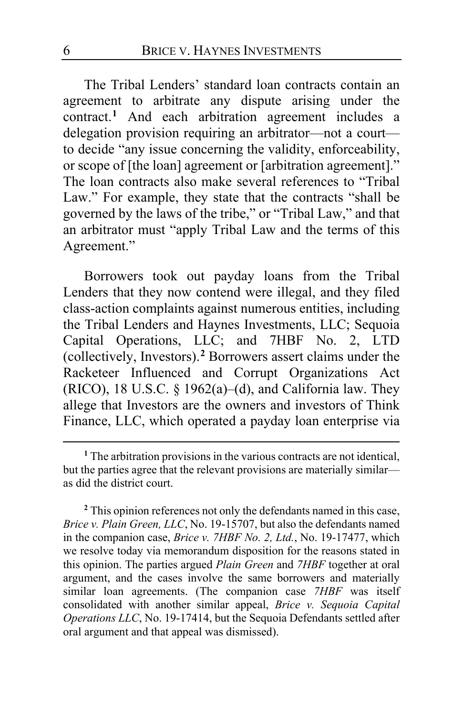The Tribal Lenders' standard loan contracts contain an agreement to arbitrate any dispute arising under the contract.**[1](#page-5-0)** And each arbitration agreement includes a delegation provision requiring an arbitrator—not a court to decide "any issue concerning the validity, enforceability, or scope of [the loan] agreement or [arbitration agreement]." The loan contracts also make several references to "Tribal Law." For example, they state that the contracts "shall be governed by the laws of the tribe," or "Tribal Law," and that an arbitrator must "apply Tribal Law and the terms of this Agreement."

Borrowers took out payday loans from the Tribal Lenders that they now contend were illegal, and they filed class-action complaints against numerous entities, including the Tribal Lenders and Haynes Investments, LLC; Sequoia Capital Operations, LLC; and 7HBF No. 2, LTD (collectively, Investors).**[2](#page-5-1)** Borrowers assert claims under the Racketeer Influenced and Corrupt Organizations Act (RICO), 18 U.S.C. § 1962(a)–(d), and California law. They allege that Investors are the owners and investors of Think Finance, LLC, which operated a payday loan enterprise via

<span id="page-5-1"></span>**<sup>2</sup>** This opinion references not only the defendants named in this case, *Brice v. Plain Green, LLC*, No. 19-15707, but also the defendants named in the companion case, *Brice v. 7HBF No. 2, Ltd.*, No. 19-17477, which we resolve today via memorandum disposition for the reasons stated in this opinion. The parties argued *Plain Green* and *7HBF* together at oral argument, and the cases involve the same borrowers and materially similar loan agreements. (The companion case *7HBF* was itself consolidated with another similar appeal, *Brice v. Sequoia Capital Operations LLC*, No. 19-17414, but the Sequoia Defendants settled after oral argument and that appeal was dismissed).

<span id="page-5-0"></span>**<sup>1</sup>** The arbitration provisions in the various contracts are not identical, but the parties agree that the relevant provisions are materially similar as did the district court.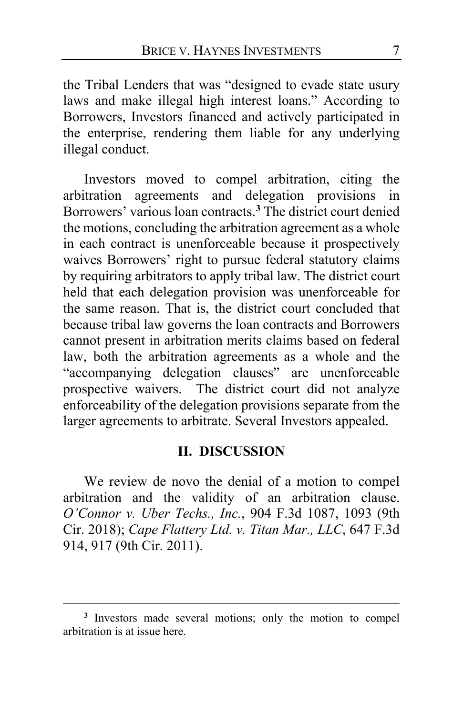the Tribal Lenders that was "designed to evade state usury laws and make illegal high interest loans." According to Borrowers, Investors financed and actively participated in the enterprise, rendering them liable for any underlying illegal conduct.

Investors moved to compel arbitration, citing the arbitration agreements and delegation provisions in Borrowers' various loan contracts.**[3](#page-6-0)** The district court denied the motions, concluding the arbitration agreement as a whole in each contract is unenforceable because it prospectively waives Borrowers' right to pursue federal statutory claims by requiring arbitrators to apply tribal law. The district court held that each delegation provision was unenforceable for the same reason. That is, the district court concluded that because tribal law governs the loan contracts and Borrowers cannot present in arbitration merits claims based on federal law, both the arbitration agreements as a whole and the "accompanying delegation clauses" are unenforceable prospective waivers. The district court did not analyze enforceability of the delegation provisions separate from the larger agreements to arbitrate. Several Investors appealed.

#### **II. DISCUSSION**

We review de novo the denial of a motion to compel arbitration and the validity of an arbitration clause. *O'Connor v. Uber Techs., Inc.*, 904 F.3d 1087, 1093 (9th Cir. 2018); *Cape Flattery Ltd. v. Titan Mar., LLC*, 647 F.3d 914, 917 (9th Cir. 2011).

<span id="page-6-0"></span>**<sup>3</sup>** Investors made several motions; only the motion to compel arbitration is at issue here.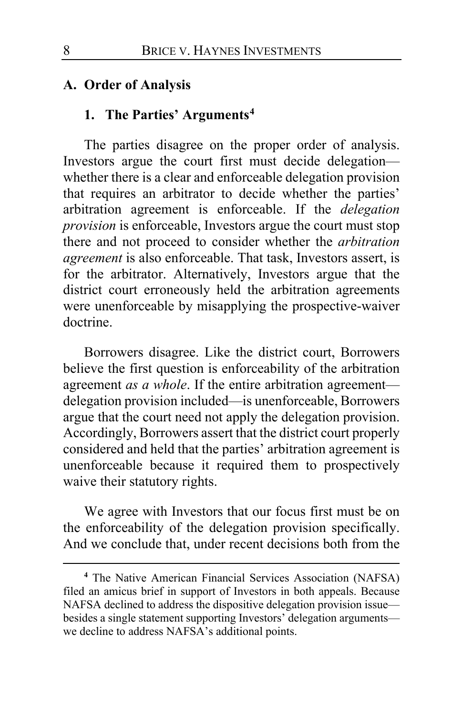### **A. Order of Analysis**

## **1. The Parties' Arguments[4](#page-7-0)**

The parties disagree on the proper order of analysis. Investors argue the court first must decide delegation whether there is a clear and enforceable delegation provision that requires an arbitrator to decide whether the parties' arbitration agreement is enforceable. If the *delegation provision* is enforceable, Investors argue the court must stop there and not proceed to consider whether the *arbitration agreement* is also enforceable. That task, Investors assert, is for the arbitrator. Alternatively, Investors argue that the district court erroneously held the arbitration agreements were unenforceable by misapplying the prospective-waiver doctrine.

Borrowers disagree. Like the district court, Borrowers believe the first question is enforceability of the arbitration agreement *as a whole*. If the entire arbitration agreement delegation provision included—is unenforceable, Borrowers argue that the court need not apply the delegation provision. Accordingly, Borrowers assert that the district court properly considered and held that the parties' arbitration agreement is unenforceable because it required them to prospectively waive their statutory rights.

We agree with Investors that our focus first must be on the enforceability of the delegation provision specifically. And we conclude that, under recent decisions both from the

<span id="page-7-0"></span>**<sup>4</sup>** The Native American Financial Services Association (NAFSA) filed an amicus brief in support of Investors in both appeals. Because NAFSA declined to address the dispositive delegation provision issue besides a single statement supporting Investors' delegation arguments we decline to address NAFSA's additional points.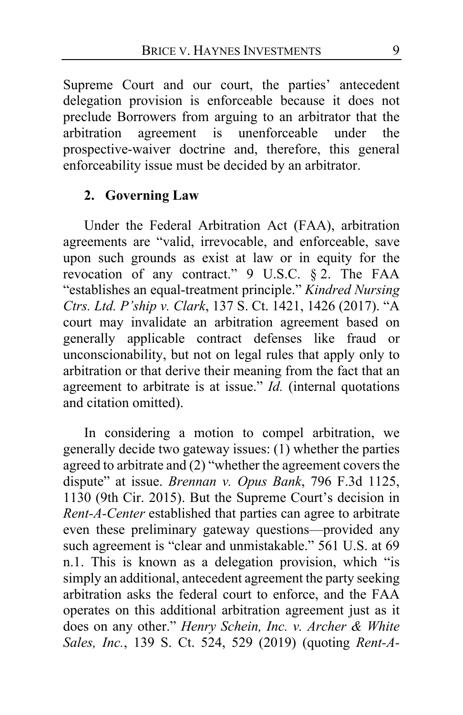Supreme Court and our court, the parties' antecedent delegation provision is enforceable because it does not preclude Borrowers from arguing to an arbitrator that the arbitration agreement is unenforceable under the prospective-waiver doctrine and, therefore, this general enforceability issue must be decided by an arbitrator.

### **2. Governing Law**

Under the Federal Arbitration Act (FAA), arbitration agreements are "valid, irrevocable, and enforceable, save upon such grounds as exist at law or in equity for the revocation of any contract." 9 U.S.C. § 2. The FAA "establishes an equal-treatment principle." *Kindred Nursing Ctrs. Ltd. P'ship v. Clark*, 137 S. Ct. 1421, 1426 (2017). "A court may invalidate an arbitration agreement based on generally applicable contract defenses like fraud or unconscionability, but not on legal rules that apply only to arbitration or that derive their meaning from the fact that an agreement to arbitrate is at issue." *Id.* (internal quotations and citation omitted).

In considering a motion to compel arbitration, we generally decide two gateway issues: (1) whether the parties agreed to arbitrate and (2) "whether the agreement covers the dispute" at issue. *Brennan v. Opus Bank*, 796 F.3d 1125, 1130 (9th Cir. 2015). But the Supreme Court's decision in *Rent-A-Center* established that parties can agree to arbitrate even these preliminary gateway questions—provided any such agreement is "clear and unmistakable." 561 U.S. at 69 n.1. This is known as a delegation provision, which "is simply an additional, antecedent agreement the party seeking arbitration asks the federal court to enforce, and the FAA operates on this additional arbitration agreement just as it does on any other." *Henry Schein, Inc. v. Archer & White Sales, Inc.*, 139 S. Ct. 524, 529 (2019) (quoting *Rent-A-*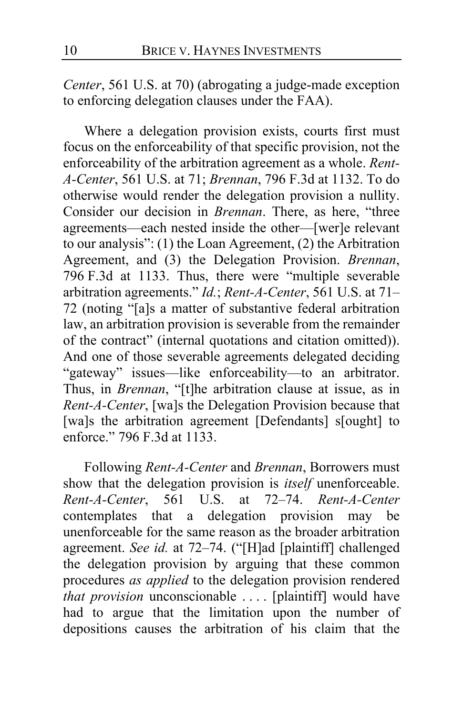*Center*, 561 U.S. at 70) (abrogating a judge-made exception to enforcing delegation clauses under the FAA).

Where a delegation provision exists, courts first must focus on the enforceability of that specific provision, not the enforceability of the arbitration agreement as a whole. *Rent-A-Center*, 561 U.S. at 71; *Brennan*, 796 F.3d at 1132. To do otherwise would render the delegation provision a nullity. Consider our decision in *Brennan*. There, as here, "three agreements—each nested inside the other—[wer]e relevant to our analysis": (1) the Loan Agreement, (2) the Arbitration Agreement, and (3) the Delegation Provision. *Brennan*, 796 F.3d at 1133. Thus, there were "multiple severable arbitration agreements." *Id.*; *Rent-A-Center*, 561 U.S. at 71– 72 (noting "[a]s a matter of substantive federal arbitration law, an arbitration provision is severable from the remainder of the contract" (internal quotations and citation omitted)). And one of those severable agreements delegated deciding "gateway" issues—like enforceability—to an arbitrator. Thus, in *Brennan*, "[t]he arbitration clause at issue, as in *Rent-A-Center*, [wa]s the Delegation Provision because that [wa]s the arbitration agreement [Defendants] s[ought] to enforce." 796 F.3d at 1133.

Following *Rent-A-Center* and *Brennan*, Borrowers must show that the delegation provision is *itself* unenforceable. *Rent-A-Center*, 561 U.S. at 72–74. *Rent-A-Center*  contemplates that a delegation provision may be unenforceable for the same reason as the broader arbitration agreement. *See id.* at 72–74. ("[H]ad [plaintiff] challenged the delegation provision by arguing that these common procedures *as applied* to the delegation provision rendered *that provision* unconscionable . . . . [plaintiff] would have had to argue that the limitation upon the number of depositions causes the arbitration of his claim that the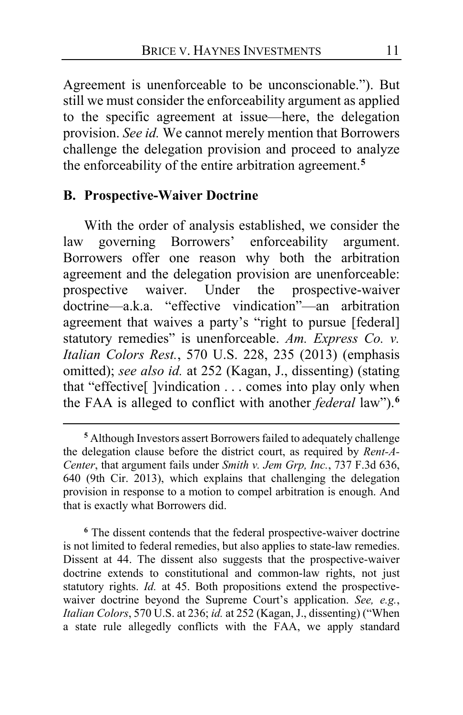Agreement is unenforceable to be unconscionable."). But still we must consider the enforceability argument as applied to the specific agreement at issue—here, the delegation provision. *See id.* We cannot merely mention that Borrowers challenge the delegation provision and proceed to analyze the enforceability of the entire arbitration agreement.**[5](#page-10-0)**

#### **B. Prospective-Waiver Doctrine**

With the order of analysis established, we consider the law governing Borrowers' enforceability argument. Borrowers offer one reason why both the arbitration agreement and the delegation provision are unenforceable: prospective waiver. Under the prospective-waiver doctrine—a.k.a. "effective vindication"—an arbitration agreement that waives a party's "right to pursue [federal] statutory remedies" is unenforceable. *Am. Express Co. v. Italian Colors Rest.*, 570 U.S. 228, 235 (2013) (emphasis omitted); *see also id.* at 252 (Kagan, J., dissenting) (stating that "effective[ ]vindication . . . comes into play only when the FAA is alleged to conflict with another *federal* law").**[6](#page-10-1)**

<span id="page-10-1"></span>**<sup>6</sup>** The dissent contends that the federal prospective-waiver doctrine is not limited to federal remedies, but also applies to state-law remedies. Dissent at [44.](#page-43-0) The dissent also suggests that the prospective-waiver doctrine extends to constitutional and common-law rights, not just statutory rights. *Id.* at [45.](#page-44-0) Both propositions extend the prospectivewaiver doctrine beyond the Supreme Court's application. *See, e.g.*, *Italian Colors*, 570 U.S. at 236; *id.* at 252 (Kagan, J., dissenting) ("When a state rule allegedly conflicts with the FAA, we apply standard

<span id="page-10-0"></span>**<sup>5</sup>** Although Investors assert Borrowers failed to adequately challenge the delegation clause before the district court, as required by *Rent-A-Center*, that argument fails under *Smith v. Jem Grp, Inc.*, 737 F.3d 636, 640 (9th Cir. 2013), which explains that challenging the delegation provision in response to a motion to compel arbitration is enough. And that is exactly what Borrowers did.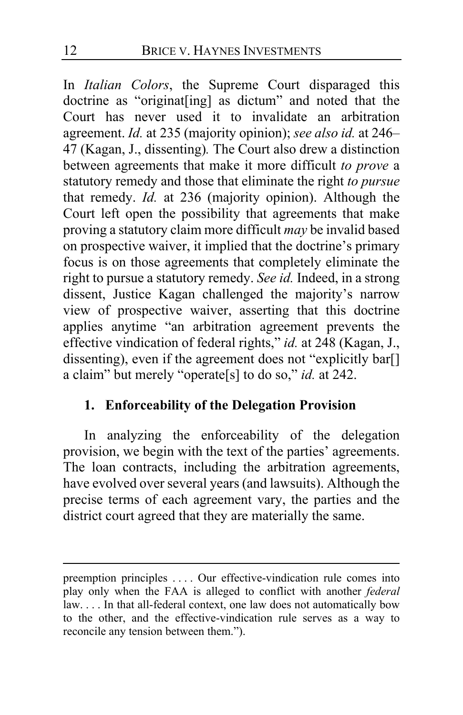In *Italian Colors*, the Supreme Court disparaged this doctrine as "originat[ing] as dictum" and noted that the Court has never used it to invalidate an arbitration agreement. *Id.* at 235 (majority opinion); *see also id.* at 246– 47 (Kagan, J., dissenting)*.* The Court also drew a distinction between agreements that make it more difficult *to prove* a statutory remedy and those that eliminate the right *to pursue*  that remedy. *Id.* at 236 (majority opinion). Although the Court left open the possibility that agreements that make proving a statutory claim more difficult *may* be invalid based on prospective waiver, it implied that the doctrine's primary focus is on those agreements that completely eliminate the right to pursue a statutory remedy. *See id.* Indeed, in a strong dissent, Justice Kagan challenged the majority's narrow view of prospective waiver, asserting that this doctrine applies anytime "an arbitration agreement prevents the effective vindication of federal rights," *id.* at 248 (Kagan, J., dissenting), even if the agreement does not "explicitly bar[] a claim" but merely "operate[s] to do so," *id.* at 242.

## **1. Enforceability of the Delegation Provision**

In analyzing the enforceability of the delegation provision, we begin with the text of the parties' agreements. The loan contracts, including the arbitration agreements, have evolved over several years (and lawsuits). Although the precise terms of each agreement vary, the parties and the district court agreed that they are materially the same.

preemption principles . . . . Our effective-vindication rule comes into play only when the FAA is alleged to conflict with another *federal* law. . . . In that all-federal context, one law does not automatically bow to the other, and the effective-vindication rule serves as a way to reconcile any tension between them.").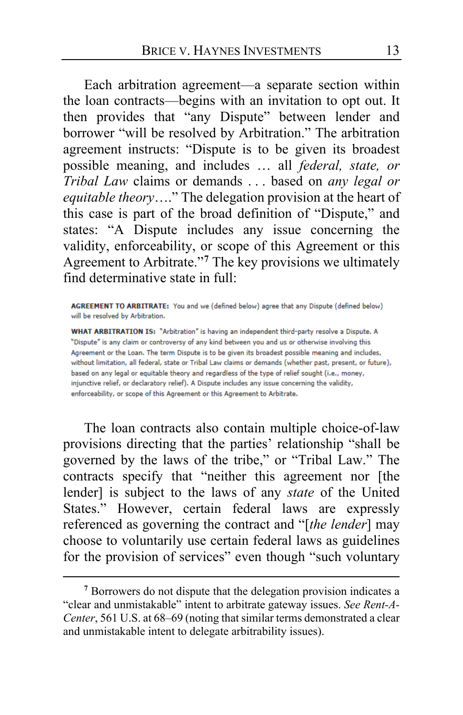Each arbitration agreement—a separate section within the loan contracts—begins with an invitation to opt out. It then provides that "any Dispute" between lender and borrower "will be resolved by Arbitration." The arbitration agreement instructs: "Dispute is to be given its broadest possible meaning, and includes … all *federal, state, or Tribal Law* claims or demands . . . based on *any legal or equitable theory*…." The delegation provision at the heart of this case is part of the broad definition of "Dispute," and states: "A Dispute includes any issue concerning the validity, enforceability, or scope of this Agreement or this Agreement to Arbitrate."**[7](#page-12-0)** The key provisions we ultimately find determinative state in full:

AGREEMENT TO ARBITRATE: You and we (defined below) agree that any Dispute (defined below) will be resolved by Arbitration.

WHAT ARBITRATION IS: "Arbitration" is having an independent third-party resolve a Dispute. A "Dispute" is any claim or controversy of any kind between you and us or otherwise involving this Agreement or the Loan. The term Dispute is to be given its broadest possible meaning and includes, without limitation, all federal, state or Tribal Law claims or demands (whether past, present, or future), based on any legal or equitable theory and regardless of the type of relief sought (i.e., money, injunctive relief, or declaratory relief). A Dispute includes any issue concerning the validity, enforceability, or scope of this Agreement or this Agreement to Arbitrate.

The loan contracts also contain multiple choice-of-law provisions directing that the parties' relationship "shall be governed by the laws of the tribe," or "Tribal Law." The contracts specify that "neither this agreement nor [the lender] is subject to the laws of any *state* of the United States." However, certain federal laws are expressly referenced as governing the contract and "[*the lender*] may choose to voluntarily use certain federal laws as guidelines for the provision of services" even though "such voluntary

<span id="page-12-0"></span>**<sup>7</sup>** Borrowers do not dispute that the delegation provision indicates a "clear and unmistakable" intent to arbitrate gateway issues. *See Rent-A-Center*, 561 U.S. at 68–69 (noting that similar terms demonstrated a clear and unmistakable intent to delegate arbitrability issues).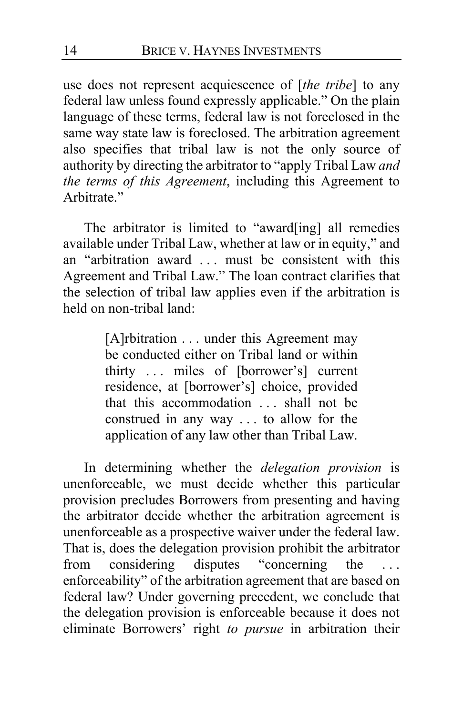use does not represent acquiescence of [*the tribe*] to any federal law unless found expressly applicable." On the plain language of these terms, federal law is not foreclosed in the same way state law is foreclosed. The arbitration agreement also specifies that tribal law is not the only source of authority by directing the arbitrator to "apply Tribal Law *and the terms of this Agreement*, including this Agreement to Arbitrate."

The arbitrator is limited to "award[ing] all remedies available under Tribal Law, whether at law or in equity," and an "arbitration award . . . must be consistent with this Agreement and Tribal Law." The loan contract clarifies that the selection of tribal law applies even if the arbitration is held on non-tribal land:

> [A]rbitration . . . under this Agreement may be conducted either on Tribal land or within thirty . . . miles of [borrower's] current residence, at [borrower's] choice, provided that this accommodation . . . shall not be construed in any way . . . to allow for the application of any law other than Tribal Law.

<span id="page-13-0"></span>In determining whether the *delegation provision* is unenforceable, we must decide whether this particular provision precludes Borrowers from presenting and having the arbitrator decide whether the arbitration agreement is unenforceable as a prospective waiver under the federal law. That is, does the delegation provision prohibit the arbitrator from considering disputes "concerning the . . . enforceability" of the arbitration agreement that are based on federal law? Under governing precedent, we conclude that the delegation provision is enforceable because it does not eliminate Borrowers' right *to pursue* in arbitration their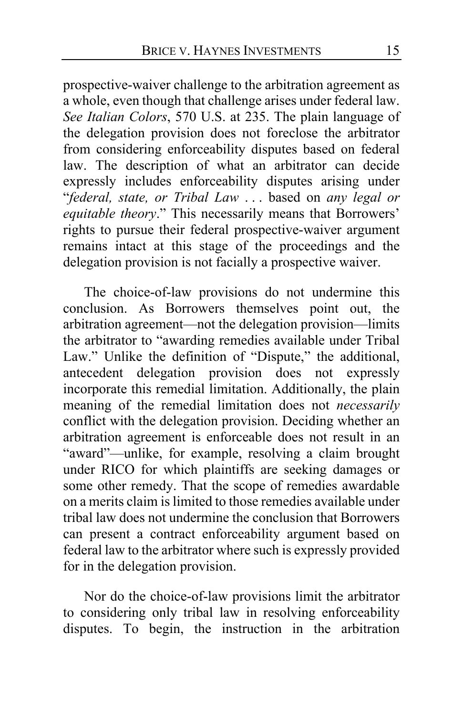<span id="page-14-1"></span><span id="page-14-0"></span>prospective-waiver challenge to the arbitration agreement as a whole, even though that challenge arises under federal law. *See Italian Colors*, 570 U.S. at 235. The plain language of the delegation provision does not foreclose the arbitrator from considering enforceability disputes based on federal law. The description of what an arbitrator can decide expressly includes enforceability disputes arising under "*federal, state, or Tribal Law* . . . based on *any legal or*  equitable theory." This necessarily means that Borrowers' rights to pursue their federal prospective-waiver argument remains intact at this stage of the proceedings and the delegation provision is not facially a prospective waiver.

The choice-of-law provisions do not undermine this conclusion. As Borrowers themselves point out, the arbitration agreement—not the delegation provision—limits the arbitrator to "awarding remedies available under Tribal Law." Unlike the definition of "Dispute," the additional, antecedent delegation provision does not expressly incorporate this remedial limitation. Additionally, the plain meaning of the remedial limitation does not *necessarily*  conflict with the delegation provision. Deciding whether an arbitration agreement is enforceable does not result in an "award"—unlike, for example, resolving a claim brought under RICO for which plaintiffs are seeking damages or some other remedy. That the scope of remedies awardable on a merits claim is limited to those remedies available under tribal law does not undermine the conclusion that Borrowers can present a contract enforceability argument based on federal law to the arbitrator where such is expressly provided for in the delegation provision.

Nor do the choice-of-law provisions limit the arbitrator to considering only tribal law in resolving enforceability disputes. To begin, the instruction in the arbitration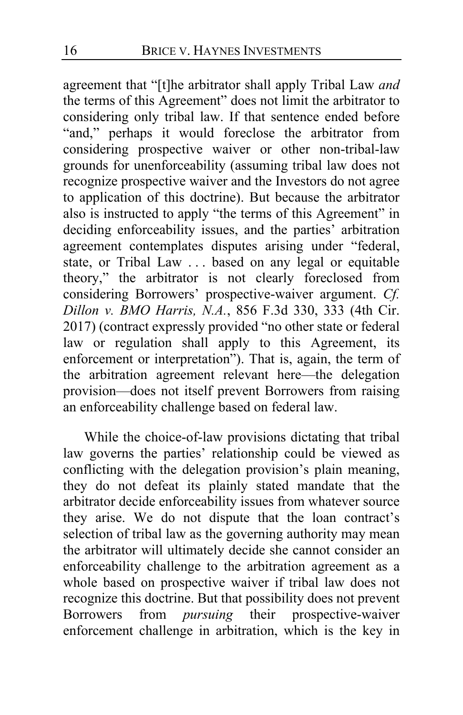agreement that "[t]he arbitrator shall apply Tribal Law *and*  the terms of this Agreement" does not limit the arbitrator to considering only tribal law. If that sentence ended before "and," perhaps it would foreclose the arbitrator from considering prospective waiver or other non-tribal-law grounds for unenforceability (assuming tribal law does not recognize prospective waiver and the Investors do not agree to application of this doctrine). But because the arbitrator also is instructed to apply "the terms of this Agreement" in deciding enforceability issues, and the parties' arbitration agreement contemplates disputes arising under "federal, state, or Tribal Law . . . based on any legal or equitable theory," the arbitrator is not clearly foreclosed from considering Borrowers' prospective-waiver argument. *Cf. Dillon v. BMO Harris, N.A.*, 856 F.3d 330, 333 (4th Cir. 2017) (contract expressly provided "no other state or federal law or regulation shall apply to this Agreement, its enforcement or interpretation"). That is, again, the term of the arbitration agreement relevant here—the delegation provision—does not itself prevent Borrowers from raising an enforceability challenge based on federal law.

<span id="page-15-0"></span>While the choice-of-law provisions dictating that tribal law governs the parties' relationship could be viewed as conflicting with the delegation provision's plain meaning, they do not defeat its plainly stated mandate that the arbitrator decide enforceability issues from whatever source they arise. We do not dispute that the loan contract's selection of tribal law as the governing authority may mean the arbitrator will ultimately decide she cannot consider an enforceability challenge to the arbitration agreement as a whole based on prospective waiver if tribal law does not recognize this doctrine. But that possibility does not prevent<br>Borrowers from *pursuing* their prospective-waiver from *pursuing* their prospective-waiver enforcement challenge in arbitration, which is the key in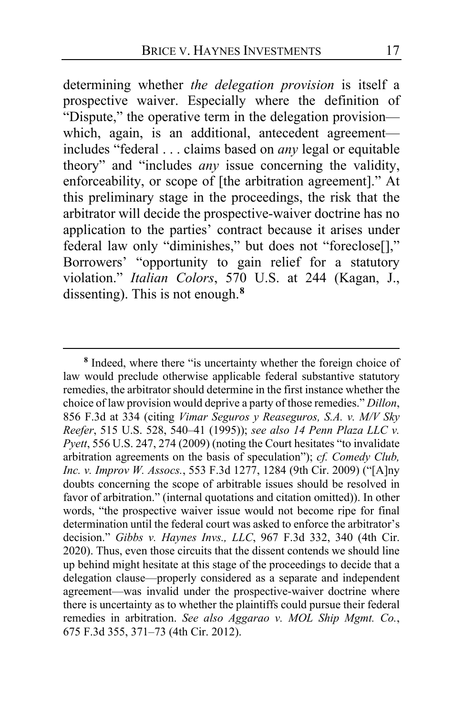determining whether *the delegation provision* is itself a prospective waiver. Especially where the definition of "Dispute," the operative term in the delegation provision which, again, is an additional, antecedent agreementincludes "federal . . . claims based on *any* legal or equitable theory" and "includes *any* issue concerning the validity, enforceability, or scope of [the arbitration agreement]." At this preliminary stage in the proceedings, the risk that the arbitrator will decide the prospective-waiver doctrine has no application to the parties' contract because it arises under federal law only "diminishes," but does not "foreclose[]," Borrowers' "opportunity to gain relief for a statutory violation." *Italian Colors*, 570 U.S. at 244 (Kagan, J., dissenting). This is not enough.**[8](#page-16-0)**

<span id="page-16-0"></span>**<sup>8</sup>** Indeed, where there "is uncertainty whether the foreign choice of law would preclude otherwise applicable federal substantive statutory remedies, the arbitrator should determine in the first instance whether the choice of law provision would deprive a party of those remedies." *Dillon*, 856 F.3d at 334 (citing *Vimar Seguros y Reaseguros, S.A. v. M/V Sky Reefer*, 515 U.S. 528, 540–41 (1995)); *see also 14 Penn Plaza LLC v. Pyett*, 556 U.S. 247, 274 (2009) (noting the Court hesitates "to invalidate arbitration agreements on the basis of speculation"); *cf. Comedy Club, Inc. v. Improv W. Assocs.*, 553 F.3d 1277, 1284 (9th Cir. 2009) ("[A]ny doubts concerning the scope of arbitrable issues should be resolved in favor of arbitration." (internal quotations and citation omitted)). In other words, "the prospective waiver issue would not become ripe for final determination until the federal court was asked to enforce the arbitrator's decision." *Gibbs v. Haynes Invs., LLC*, 967 F.3d 332, 340 (4th Cir. 2020). Thus, even those circuits that the dissent contends we should line up behind might hesitate at this stage of the proceedings to decide that a delegation clause—properly considered as a separate and independent agreement—was invalid under the prospective-waiver doctrine where there is uncertainty as to whether the plaintiffs could pursue their federal remedies in arbitration. *See also Aggarao v. MOL Ship Mgmt. Co.*, 675 F.3d 355, 371–73 (4th Cir. 2012).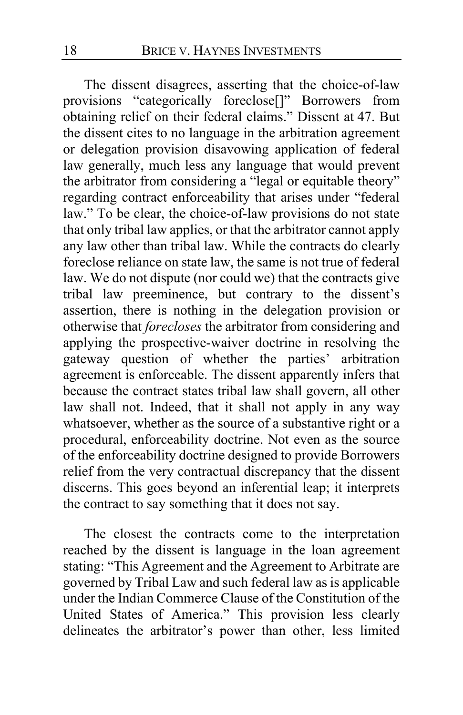The dissent disagrees, asserting that the choice-of-law provisions "categorically foreclose[]" Borrowers from obtaining relief on their federal claims." Dissent at [47.](#page-46-0) But the dissent cites to no language in the arbitration agreement or delegation provision disavowing application of federal law generally, much less any language that would prevent the arbitrator from considering a "legal or equitable theory" regarding contract enforceability that arises under "federal law." To be clear, the choice-of-law provisions do not state that only tribal law applies, or that the arbitrator cannot apply any law other than tribal law. While the contracts do clearly foreclose reliance on state law, the same is not true of federal law. We do not dispute (nor could we) that the contracts give tribal law preeminence, but contrary to the dissent's assertion, there is nothing in the delegation provision or otherwise that *forecloses* the arbitrator from considering and applying the prospective-waiver doctrine in resolving the gateway question of whether the parties' arbitration agreement is enforceable. The dissent apparently infers that because the contract states tribal law shall govern, all other law shall not. Indeed, that it shall not apply in any way whatsoever, whether as the source of a substantive right or a procedural, enforceability doctrine. Not even as the source of the enforceability doctrine designed to provide Borrowers relief from the very contractual discrepancy that the dissent discerns. This goes beyond an inferential leap; it interprets the contract to say something that it does not say.

The closest the contracts come to the interpretation reached by the dissent is language in the loan agreement stating: "This Agreement and the Agreement to Arbitrate are governed by Tribal Law and such federal law as is applicable under the Indian Commerce Clause of the Constitution of the United States of America." This provision less clearly delineates the arbitrator's power than other, less limited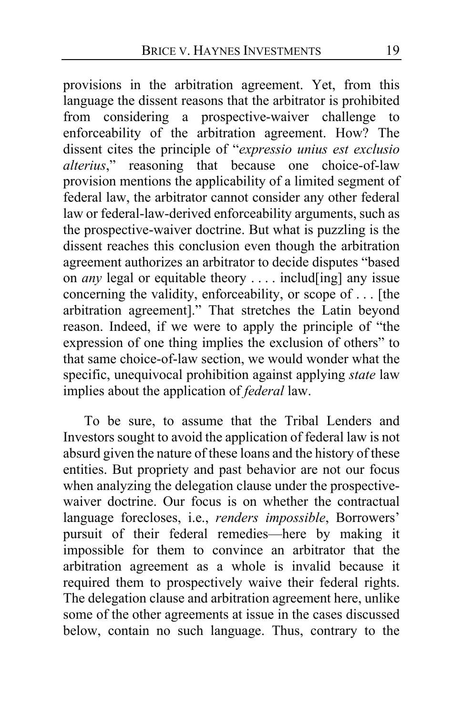<span id="page-18-0"></span>provisions in the arbitration agreement. Yet, from this language the dissent reasons that the arbitrator is prohibited from considering a prospective-waiver challenge to enforceability of the arbitration agreement. How? The dissent cites the principle of "*expressio unius est exclusio alterius*," reasoning that because one choice-of-law provision mentions the applicability of a limited segment of federal law, the arbitrator cannot consider any other federal law or federal-law-derived enforceability arguments, such as the prospective-waiver doctrine. But what is puzzling is the dissent reaches this conclusion even though the arbitration agreement authorizes an arbitrator to decide disputes "based on *any* legal or equitable theory . . . . includ[ing] any issue concerning the validity, enforceability, or scope of . . . [the arbitration agreement]." That stretches the Latin beyond reason. Indeed, if we were to apply the principle of "the expression of one thing implies the exclusion of others" to that same choice-of-law section, we would wonder what the specific, unequivocal prohibition against applying *state* law implies about the application of *federal* law.

To be sure, to assume that the Tribal Lenders and Investors sought to avoid the application of federal law is not absurd given the nature of these loans and the history of these entities. But propriety and past behavior are not our focus when analyzing the delegation clause under the prospectivewaiver doctrine. Our focus is on whether the contractual language forecloses, i.e., *renders impossible*, Borrowers' pursuit of their federal remedies—here by making it impossible for them to convince an arbitrator that the arbitration agreement as a whole is invalid because it required them to prospectively waive their federal rights. The delegation clause and arbitration agreement here, unlike some of the other agreements at issue in the cases discussed below, contain no such language. Thus, contrary to the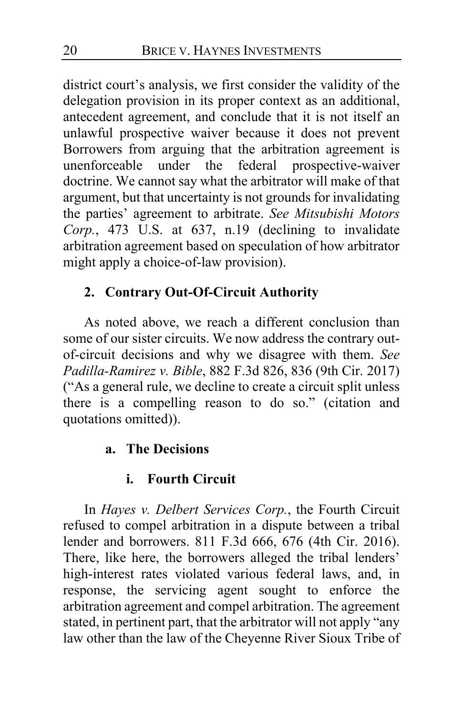district court's analysis, we first consider the validity of the delegation provision in its proper context as an additional, antecedent agreement, and conclude that it is not itself an unlawful prospective waiver because it does not prevent Borrowers from arguing that the arbitration agreement is unenforceable under the federal prospective-waiver doctrine. We cannot say what the arbitrator will make of that argument, but that uncertainty is not grounds for invalidating the parties' agreement to arbitrate. *See Mitsubishi Motors Corp.*, 473 U.S. at 637, n.19 (declining to invalidate arbitration agreement based on speculation of how arbitrator might apply a choice-of-law provision).

## **2. Contrary Out-Of-Circuit Authority**

As noted above, we reach a different conclusion than some of our sister circuits. We now address the contrary outof-circuit decisions and why we disagree with them. *See Padilla-Ramirez v. Bible*, 882 F.3d 826, 836 (9th Cir. 2017) ("As a general rule, we decline to create a circuit split unless there is a compelling reason to do so." (citation and quotations omitted)).

### **a. The Decisions**

### **i. Fourth Circuit**

In *Hayes v. Delbert Services Corp.*, the Fourth Circuit refused to compel arbitration in a dispute between a tribal lender and borrowers. 811 F.3d 666, 676 (4th Cir. 2016). There, like here, the borrowers alleged the tribal lenders' high-interest rates violated various federal laws, and, in response, the servicing agent sought to enforce the arbitration agreement and compel arbitration. The agreement stated, in pertinent part, that the arbitrator will not apply "any law other than the law of the Cheyenne River Sioux Tribe of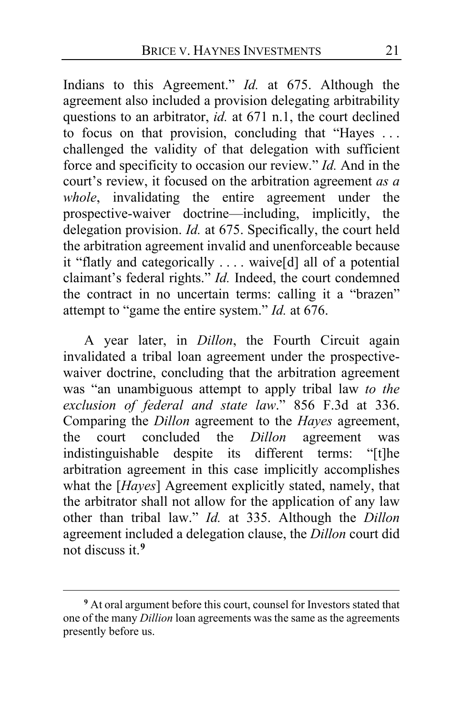Indians to this Agreement." *Id.* at 675. Although the agreement also included a provision delegating arbitrability questions to an arbitrator, *id.* at 671 n.1, the court declined to focus on that provision, concluding that "Hayes . . . challenged the validity of that delegation with sufficient force and specificity to occasion our review." *Id.* And in the court's review, it focused on the arbitration agreement *as a whole*, invalidating the entire agreement under the prospective-waiver doctrine—including, implicitly, the delegation provision. *Id.* at 675. Specifically, the court held the arbitration agreement invalid and unenforceable because it "flatly and categorically . . . . waive[d] all of a potential claimant's federal rights." *Id.* Indeed, the court condemned the contract in no uncertain terms: calling it a "brazen" attempt to "game the entire system." *Id.* at 676.

A year later, in *Dillon*, the Fourth Circuit again invalidated a tribal loan agreement under the prospectivewaiver doctrine, concluding that the arbitration agreement was "an unambiguous attempt to apply tribal law *to the exclusion of federal and state law*." 856 F.3d at 336. Comparing the *Dillon* agreement to the *Hayes* agreement, the court concluded the *Dillon* agreement was the court concluded the *Dillon* agreement indistinguishable despite its different terms: "[t]he arbitration agreement in this case implicitly accomplishes what the [*Hayes*] Agreement explicitly stated, namely, that the arbitrator shall not allow for the application of any law other than tribal law." *Id.* at 335. Although the *Dillon*  agreement included a delegation clause, the *Dillon* court did not discuss it.**[9](#page-20-0)**

<span id="page-20-0"></span>**<sup>9</sup>** At oral argument before this court, counsel for Investors stated that one of the many *Dillion* loan agreements was the same as the agreements presently before us.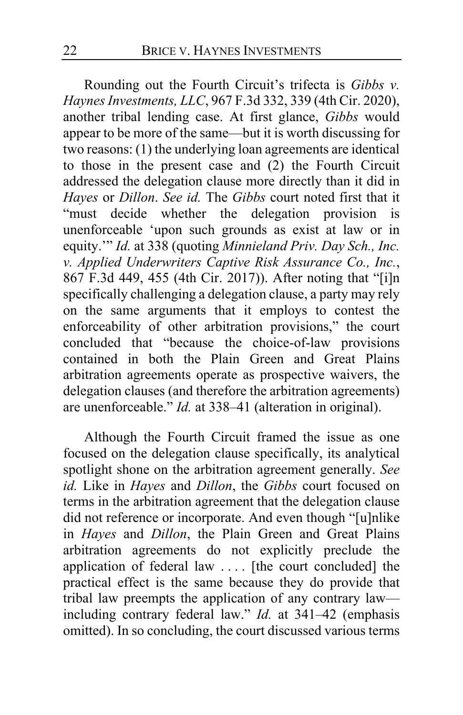Rounding out the Fourth Circuit's trifecta is *Gibbs v. Haynes Investments, LLC*, 967 F.3d 332, 339 (4th Cir. 2020), another tribal lending case. At first glance, *Gibbs* would appear to be more of the same—but it is worth discussing for two reasons: (1) the underlying loan agreements are identical to those in the present case and (2) the Fourth Circuit addressed the delegation clause more directly than it did in *Hayes* or *Dillon*. *See id.* The *Gibbs* court noted first that it "must decide whether the delegation provision is unenforceable 'upon such grounds as exist at law or in equity.'" *Id.* at 338 (quoting *Minnieland Priv. Day Sch., Inc. v. Applied Underwriters Captive Risk Assurance Co., Inc.*, 867 F.3d 449, 455 (4th Cir. 2017)). After noting that "[i]n specifically challenging a delegation clause, a party may rely on the same arguments that it employs to contest the enforceability of other arbitration provisions," the court concluded that "because the choice-of-law provisions contained in both the Plain Green and Great Plains arbitration agreements operate as prospective waivers, the delegation clauses (and therefore the arbitration agreements) are unenforceable." *Id.* at 338–41 (alteration in original).

Although the Fourth Circuit framed the issue as one focused on the delegation clause specifically, its analytical spotlight shone on the arbitration agreement generally. *See id.* Like in *Hayes* and *Dillon*, the *Gibbs* court focused on terms in the arbitration agreement that the delegation clause did not reference or incorporate. And even though "[u]nlike in *Hayes* and *Dillon*, the Plain Green and Great Plains arbitration agreements do not explicitly preclude the application of federal law . . . . [the court concluded] the practical effect is the same because they do provide that tribal law preempts the application of any contrary law including contrary federal law." *Id.* at 341–42 (emphasis omitted). In so concluding, the court discussed various terms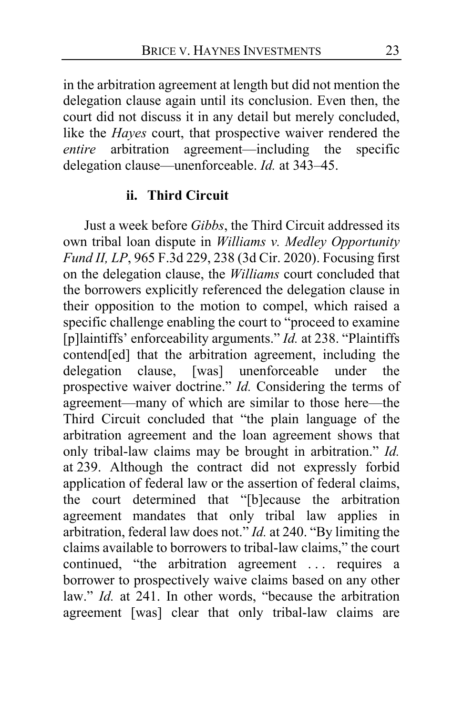in the arbitration agreement at length but did not mention the delegation clause again until its conclusion. Even then, the court did not discuss it in any detail but merely concluded, like the *Hayes* court, that prospective waiver rendered the *entire* arbitration agreement—including the specific *entire* arbitration agreement—including the delegation clause—unenforceable. *Id.* at 343–45.

#### **ii. Third Circuit**

Just a week before *Gibbs*, the Third Circuit addressed its own tribal loan dispute in *Williams v. Medley Opportunity Fund II, LP*, 965 F.3d 229, 238 (3d Cir. 2020). Focusing first on the delegation clause, the *Williams* court concluded that the borrowers explicitly referenced the delegation clause in their opposition to the motion to compel, which raised a specific challenge enabling the court to "proceed to examine [p]laintiffs' enforceability arguments." *Id.* at 238. "Plaintiffs contend[ed] that the arbitration agreement, including the delegation clause, [was] unenforceable under the prospective waiver doctrine." *Id.* Considering the terms of agreement—many of which are similar to those here—the Third Circuit concluded that "the plain language of the arbitration agreement and the loan agreement shows that only tribal-law claims may be brought in arbitration." *Id.* at 239. Although the contract did not expressly forbid application of federal law or the assertion of federal claims, the court determined that "[b]ecause the arbitration agreement mandates that only tribal law applies in arbitration, federal law does not." *Id.* at 240. "By limiting the claims available to borrowers to tribal-law claims," the court continued, "the arbitration agreement . . . requires a borrower to prospectively waive claims based on any other law." *Id.* at 241. In other words, "because the arbitration agreement [was] clear that only tribal-law claims are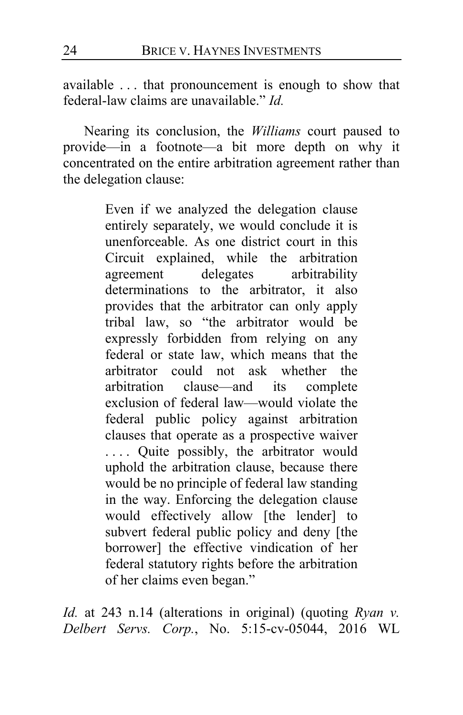available . . . that pronouncement is enough to show that federal-law claims are unavailable." *Id.*

Nearing its conclusion, the *Williams* court paused to provide—in a footnote—a bit more depth on why it concentrated on the entire arbitration agreement rather than the delegation clause:

> Even if we analyzed the delegation clause entirely separately, we would conclude it is unenforceable. As one district court in this Circuit explained, while the arbitration agreement delegates arbitrability determinations to the arbitrator, it also provides that the arbitrator can only apply tribal law, so "the arbitrator would be expressly forbidden from relying on any federal or state law, which means that the arbitrator could not ask whether the arbitration clause—and its complete exclusion of federal law—would violate the federal public policy against arbitration clauses that operate as a prospective waiver . . . . Quite possibly, the arbitrator would uphold the arbitration clause, because there would be no principle of federal law standing in the way. Enforcing the delegation clause would effectively allow [the lender] to subvert federal public policy and deny [the borrower] the effective vindication of her federal statutory rights before the arbitration of her claims even began."

*Id.* at 243 n.14 (alterations in original) (quoting *Ryan v. Delbert Servs. Corp.*, No. 5:15-cv-05044, 2016 WL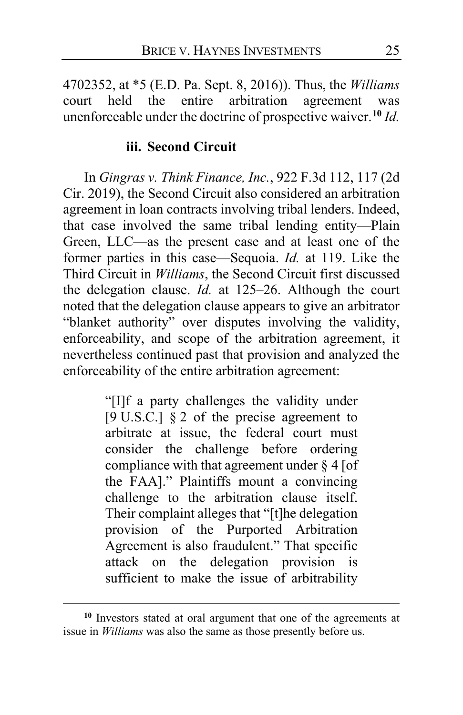4702352, at \*5 (E.D. Pa. Sept. 8, 2016)). Thus, the *Williams*  court held the entire arbitration agreement was unenforceable under the doctrine of prospective waiver.**[10](#page-24-0)** *Id.*

### **iii. Second Circuit**

In *Gingras v. Think Finance, Inc.*, 922 F.3d 112, 117 (2d Cir. 2019), the Second Circuit also considered an arbitration agreement in loan contracts involving tribal lenders. Indeed, that case involved the same tribal lending entity—Plain Green, LLC—as the present case and at least one of the former parties in this case—Sequoia. *Id.* at 119. Like the Third Circuit in *Williams*, the Second Circuit first discussed the delegation clause. *Id.* at 125–26. Although the court noted that the delegation clause appears to give an arbitrator "blanket authority" over disputes involving the validity, enforceability, and scope of the arbitration agreement, it nevertheless continued past that provision and analyzed the enforceability of the entire arbitration agreement:

> "[I]f a party challenges the validity under [9 U.S.C.] § 2 of the precise agreement to arbitrate at issue, the federal court must consider the challenge before ordering compliance with that agreement under § 4 [of the FAA]." Plaintiffs mount a convincing challenge to the arbitration clause itself. Their complaint alleges that "[t]he delegation provision of the Purported Arbitration Agreement is also fraudulent." That specific attack on the delegation provision is sufficient to make the issue of arbitrability

<span id="page-24-0"></span>**<sup>10</sup>** Investors stated at oral argument that one of the agreements at issue in *Williams* was also the same as those presently before us.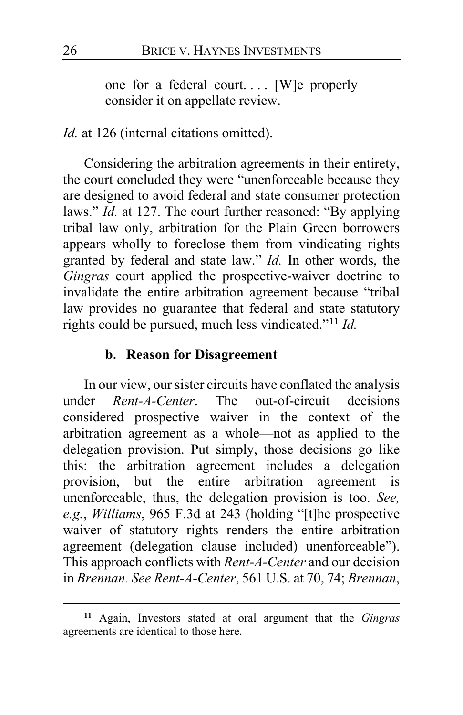one for a federal court.... [W]e properly consider it on appellate review.

### *Id.* at 126 (internal citations omitted).

Considering the arbitration agreements in their entirety, the court concluded they were "unenforceable because they are designed to avoid federal and state consumer protection laws." *Id.* at 127. The court further reasoned: "By applying tribal law only, arbitration for the Plain Green borrowers appears wholly to foreclose them from vindicating rights granted by federal and state law." *Id.* In other words, the *Gingras* court applied the prospective-waiver doctrine to invalidate the entire arbitration agreement because "tribal law provides no guarantee that federal and state statutory rights could be pursued, much less vindicated."**[11](#page-25-0)** *Id.*

#### **b. Reason for Disagreement**

In our view, our sister circuits have conflated the analysis under *Rent-A-Center*. The out-of-circuit decisions considered prospective waiver in the context of the arbitration agreement as a whole—not as applied to the delegation provision. Put simply, those decisions go like this: the arbitration agreement includes a delegation provision, but the entire arbitration agreement is unenforceable, thus, the delegation provision is too. *See, e.g.*, *Williams*, 965 F.3d at 243 (holding "[t]he prospective waiver of statutory rights renders the entire arbitration agreement (delegation clause included) unenforceable"). This approach conflicts with *Rent-A-Center* and our decision in *Brennan. See Rent-A-Center*, 561 U.S. at 70, 74; *Brennan*,

<span id="page-25-0"></span>**<sup>11</sup>** Again, Investors stated at oral argument that the *Gingras*  agreements are identical to those here.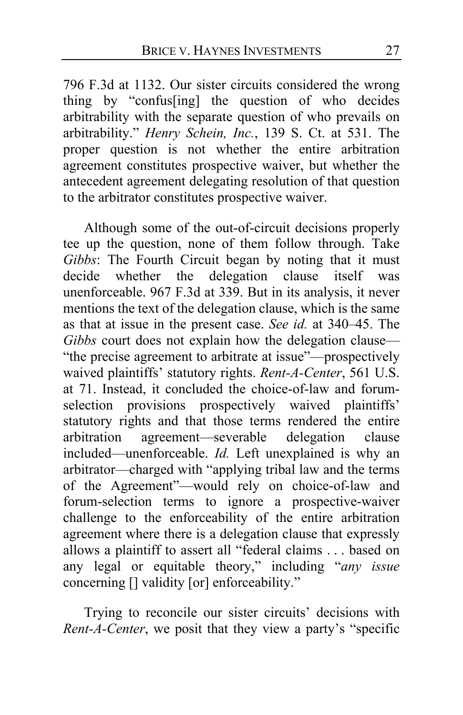796 F.3d at 1132. Our sister circuits considered the wrong thing by "confus[ing] the question of who decides arbitrability with the separate question of who prevails on arbitrability." *Henry Schein, Inc.*, 139 S. Ct. at 531. The proper question is not whether the entire arbitration agreement constitutes prospective waiver, but whether the antecedent agreement delegating resolution of that question to the arbitrator constitutes prospective waiver.

Although some of the out-of-circuit decisions properly tee up the question, none of them follow through. Take *Gibbs*: The Fourth Circuit began by noting that it must decide whether the delegation clause itself was unenforceable. 967 F.3d at 339. But in its analysis, it never mentions the text of the delegation clause, which is the same as that at issue in the present case. *See id.* at 340–45. The *Gibbs* court does not explain how the delegation clause— "the precise agreement to arbitrate at issue"—prospectively waived plaintiffs' statutory rights. *Rent-A-Center*, 561 U.S. at 71. Instead, it concluded the choice-of-law and forumselection provisions prospectively waived plaintiffs' statutory rights and that those terms rendered the entire<br>arbitration agreement—severable delegation clause agreement—severable delegation clause included—unenforceable. *Id.* Left unexplained is why an arbitrator—charged with "applying tribal law and the terms of the Agreement"—would rely on choice-of-law and forum-selection terms to ignore a prospective-waiver challenge to the enforceability of the entire arbitration agreement where there is a delegation clause that expressly allows a plaintiff to assert all "federal claims . . . based on any legal or equitable theory," including "*any issue*  concerning [] validity [or] enforceability."

Trying to reconcile our sister circuits' decisions with *Rent-A-Center*, we posit that they view a party's "specific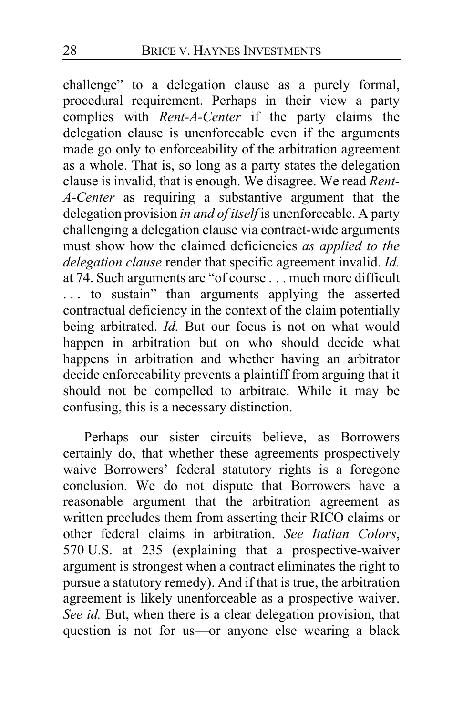challenge" to a delegation clause as a purely formal, procedural requirement. Perhaps in their view a party complies with *Rent-A-Center* if the party claims the delegation clause is unenforceable even if the arguments made go only to enforceability of the arbitration agreement as a whole. That is, so long as a party states the delegation clause is invalid, that is enough. We disagree. We read *Rent-A-Center* as requiring a substantive argument that the delegation provision *in and of itself* is unenforceable. A party challenging a delegation clause via contract-wide arguments must show how the claimed deficiencies *as applied to the delegation clause* render that specific agreement invalid. *Id.* at 74. Such arguments are "of course . . . much more difficult ... to sustain" than arguments applying the asserted contractual deficiency in the context of the claim potentially being arbitrated. *Id.* But our focus is not on what would happen in arbitration but on who should decide what happens in arbitration and whether having an arbitrator decide enforceability prevents a plaintiff from arguing that it should not be compelled to arbitrate. While it may be confusing, this is a necessary distinction.

Perhaps our sister circuits believe, as Borrowers certainly do, that whether these agreements prospectively waive Borrowers' federal statutory rights is a foregone conclusion. We do not dispute that Borrowers have a reasonable argument that the arbitration agreement as written precludes them from asserting their RICO claims or other federal claims in arbitration. *See Italian Colors*, 570 U.S. at 235 (explaining that a prospective-waiver argument is strongest when a contract eliminates the right to pursue a statutory remedy). And if that is true, the arbitration agreement is likely unenforceable as a prospective waiver. See id. But, when there is a clear delegation provision, that question is not for us—or anyone else wearing a black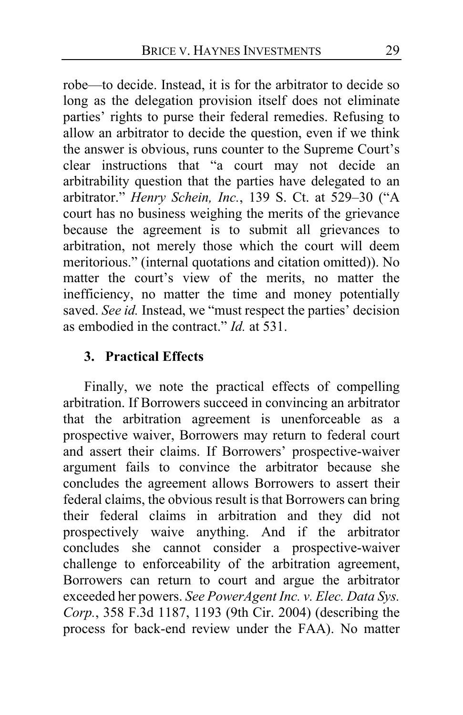robe—to decide. Instead, it is for the arbitrator to decide so long as the delegation provision itself does not eliminate parties' rights to purse their federal remedies. Refusing to allow an arbitrator to decide the question, even if we think the answer is obvious, runs counter to the Supreme Court's clear instructions that "a court may not decide an arbitrability question that the parties have delegated to an arbitrator." *Henry Schein, Inc.*, 139 S. Ct. at 529–30 ("A court has no business weighing the merits of the grievance because the agreement is to submit all grievances to arbitration, not merely those which the court will deem meritorious." (internal quotations and citation omitted)). No matter the court's view of the merits, no matter the inefficiency, no matter the time and money potentially saved. *See id.* Instead, we "must respect the parties' decision as embodied in the contract." *Id.* at 531.

### **3. Practical Effects**

Finally, we note the practical effects of compelling arbitration. If Borrowers succeed in convincing an arbitrator that the arbitration agreement is unenforceable as a prospective waiver, Borrowers may return to federal court and assert their claims. If Borrowers' prospective-waiver argument fails to convince the arbitrator because she concludes the agreement allows Borrowers to assert their federal claims, the obvious result is that Borrowers can bring their federal claims in arbitration and they did not prospectively waive anything. And if the arbitrator concludes she cannot consider a prospective-waiver challenge to enforceability of the arbitration agreement, Borrowers can return to court and argue the arbitrator exceeded her powers. *See PowerAgent Inc. v. Elec. Data Sys. Corp.*, 358 F.3d 1187, 1193 (9th Cir. 2004) (describing the process for back-end review under the FAA). No matter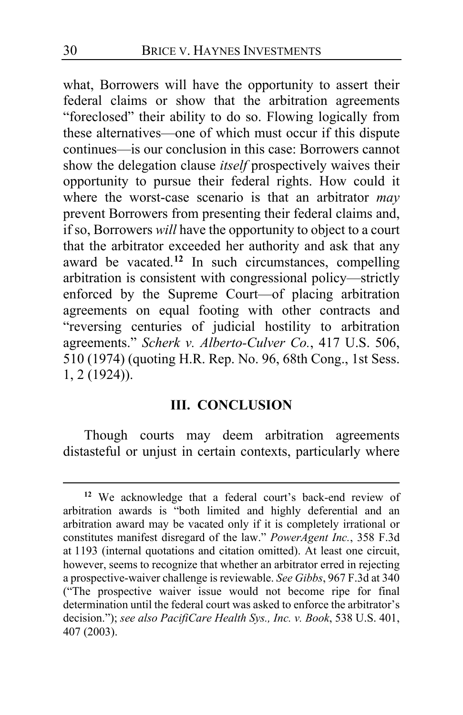what, Borrowers will have the opportunity to assert their federal claims or show that the arbitration agreements "foreclosed" their ability to do so. Flowing logically from these alternatives—one of which must occur if this dispute continues—is our conclusion in this case: Borrowers cannot show the delegation clause *itself* prospectively waives their opportunity to pursue their federal rights. How could it where the worst-case scenario is that an arbitrator *may* prevent Borrowers from presenting their federal claims and, if so, Borrowers *will* have the opportunity to object to a court that the arbitrator exceeded her authority and ask that any award be vacated.**[12](#page-29-0)** In such circumstances, compelling arbitration is consistent with congressional policy—strictly enforced by the Supreme Court—of placing arbitration agreements on equal footing with other contracts and "reversing centuries of judicial hostility to arbitration agreements." *Scherk v. Alberto-Culver Co.*, 417 U.S. 506, 510 (1974) (quoting H.R. Rep. No. 96, 68th Cong., 1st Sess. 1, 2 (1924)).

#### **III. CONCLUSION**

Though courts may deem arbitration agreements distasteful or unjust in certain contexts, particularly where

<span id="page-29-0"></span>**<sup>12</sup>** We acknowledge that a federal court's back-end review of arbitration awards is "both limited and highly deferential and an arbitration award may be vacated only if it is completely irrational or constitutes manifest disregard of the law." *PowerAgent Inc.*, 358 F.3d at 1193 (internal quotations and citation omitted). At least one circuit, however, seems to recognize that whether an arbitrator erred in rejecting a prospective-waiver challenge is reviewable. *See Gibbs*, 967 F.3d at 340 ("The prospective waiver issue would not become ripe for final determination until the federal court was asked to enforce the arbitrator's decision."); *see also PacifiCare Health Sys., Inc. v. Book*, 538 U.S. 401, 407 (2003).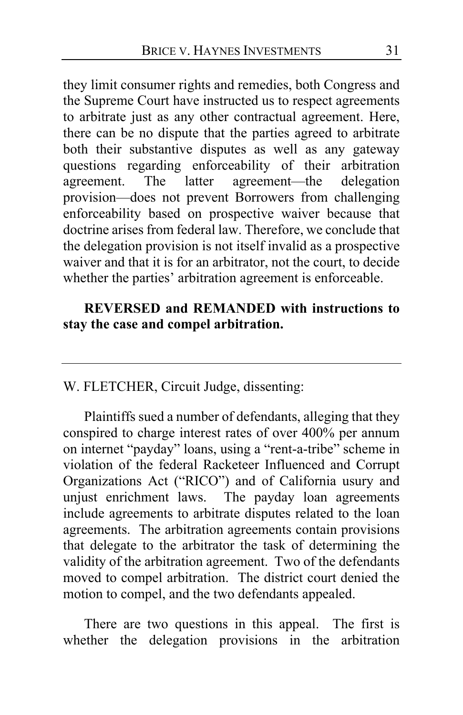they limit consumer rights and remedies, both Congress and the Supreme Court have instructed us to respect agreements to arbitrate just as any other contractual agreement. Here, there can be no dispute that the parties agreed to arbitrate both their substantive disputes as well as any gateway questions regarding enforceability of their arbitration<br>agreement. The latter agreement—the delegation agreement—the delegation provision—does not prevent Borrowers from challenging enforceability based on prospective waiver because that doctrine arises from federal law. Therefore, we conclude that the delegation provision is not itself invalid as a prospective waiver and that it is for an arbitrator, not the court, to decide whether the parties' arbitration agreement is enforceable.

### **REVERSED and REMANDED with instructions to stay the case and compel arbitration.**

### W. FLETCHER, Circuit Judge, dissenting:

Plaintiffs sued a number of defendants, alleging that they conspired to charge interest rates of over 400% per annum on internet "payday" loans, using a "rent-a-tribe" scheme in violation of the federal Racketeer Influenced and Corrupt Organizations Act ("RICO") and of California usury and unjust enrichment laws. The payday loan agreements include agreements to arbitrate disputes related to the loan agreements. The arbitration agreements contain provisions that delegate to the arbitrator the task of determining the validity of the arbitration agreement. Two of the defendants moved to compel arbitration. The district court denied the motion to compel, and the two defendants appealed.

There are two questions in this appeal. The first is whether the delegation provisions in the arbitration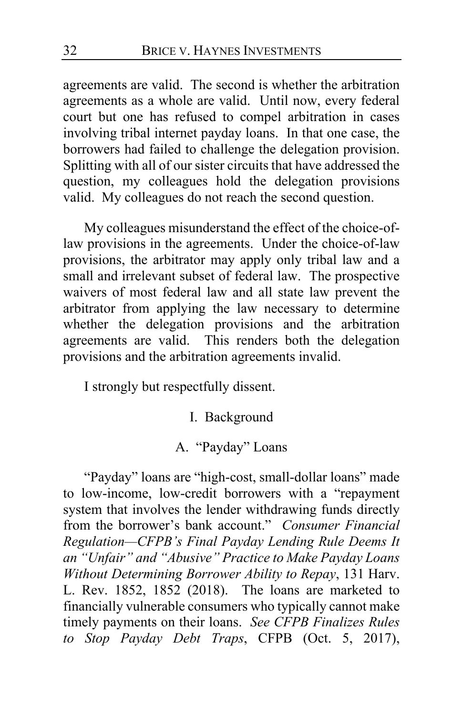agreements are valid. The second is whether the arbitration agreements as a whole are valid. Until now, every federal court but one has refused to compel arbitration in cases involving tribal internet payday loans. In that one case, the borrowers had failed to challenge the delegation provision. Splitting with all of our sister circuits that have addressed the question, my colleagues hold the delegation provisions valid. My colleagues do not reach the second question.

My colleagues misunderstand the effect of the choice-oflaw provisions in the agreements. Under the choice-of-law provisions, the arbitrator may apply only tribal law and a small and irrelevant subset of federal law. The prospective waivers of most federal law and all state law prevent the arbitrator from applying the law necessary to determine whether the delegation provisions and the arbitration agreements are valid. This renders both the delegation provisions and the arbitration agreements invalid.

I strongly but respectfully dissent.

- I. Background
- A. "Payday" Loans

"Payday" loans are "high-cost, small-dollar loans" made to low-income, low-credit borrowers with a "repayment system that involves the lender withdrawing funds directly from the borrower's bank account." *Consumer Financial Regulation—CFPB's Final Payday Lending Rule Deems It an "Unfair" and "Abusive" Practice to Make Payday Loans Without Determining Borrower Ability to Repay*, 131 Harv. L. Rev. 1852, 1852 (2018). The loans are marketed to financially vulnerable consumers who typically cannot make timely payments on their loans. *See CFPB Finalizes Rules to Stop Payday Debt Traps*, CFPB (Oct. 5, 2017),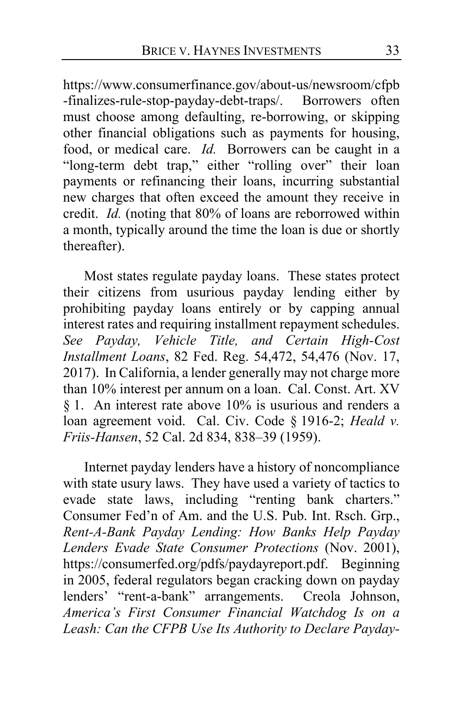https://www.consumerfinance.gov/about-us/newsroom/cfpb -finalizes-rule-stop-payday-debt-traps/. Borrowers often must choose among defaulting, re-borrowing, or skipping other financial obligations such as payments for housing, food, or medical care. *Id.* Borrowers can be caught in a "long-term debt trap," either "rolling over" their loan payments or refinancing their loans, incurring substantial new charges that often exceed the amount they receive in credit. *Id.* (noting that 80% of loans are reborrowed within a month, typically around the time the loan is due or shortly thereafter).

Most states regulate payday loans. These states protect their citizens from usurious payday lending either by prohibiting payday loans entirely or by capping annual interest rates and requiring installment repayment schedules. *See Payday, Vehicle Title, and Certain High-Cost Installment Loans*, 82 Fed. Reg. 54,472, 54,476 (Nov. 17, 2017). In California, a lender generally may not charge more than 10% interest per annum on a loan. Cal. Const. Art. XV § 1. An interest rate above 10% is usurious and renders a loan agreement void. Cal. Civ. Code § 1916-2; *Heald v. Friis-Hansen*, 52 Cal. 2d 834, 838–39 (1959).

Internet payday lenders have a history of noncompliance with state usury laws. They have used a variety of tactics to evade state laws, including "renting bank charters." Consumer Fed'n of Am. and the U.S. Pub. Int. Rsch. Grp., *Rent-A-Bank Payday Lending: How Banks Help Payday Lenders Evade State Consumer Protections* (Nov. 2001), https://consumerfed.org/pdfs/paydayreport.pdf. Beginning in 2005, federal regulators began cracking down on payday lenders' "rent-a-bank" arrangements. Creola Johnson, *America's First Consumer Financial Watchdog Is on a Leash: Can the CFPB Use Its Authority to Declare Payday-*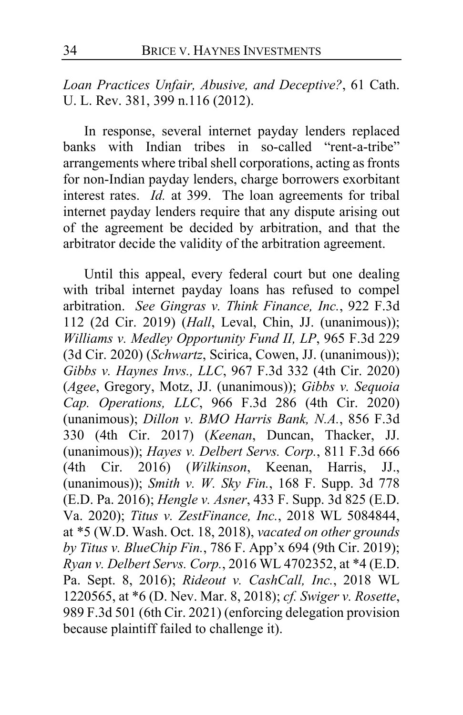*Loan Practices Unfair, Abusive, and Deceptive?*, 61 Cath. U. L. Rev. 381, 399 n.116 (2012).

In response, several internet payday lenders replaced banks with Indian tribes in so-called "rent-a-tribe" arrangements where tribal shell corporations, acting as fronts for non-Indian payday lenders, charge borrowers exorbitant interest rates. *Id.* at 399. The loan agreements for tribal internet payday lenders require that any dispute arising out of the agreement be decided by arbitration, and that the arbitrator decide the validity of the arbitration agreement.

Until this appeal, every federal court but one dealing with tribal internet payday loans has refused to compel arbitration. *See Gingras v. Think Finance, Inc.*, 922 F.3d 112 (2d Cir. 2019) (*Hall*, Leval, Chin, JJ. (unanimous)); *Williams v. Medley Opportunity Fund II, LP*, 965 F.3d 229 (3d Cir. 2020) (*Schwartz*, Scirica, Cowen, JJ. (unanimous)); *Gibbs v. Haynes Invs., LLC*, 967 F.3d 332 (4th Cir. 2020) (*Agee*, Gregory, Motz, JJ. (unanimous)); *Gibbs v. Sequoia Cap. Operations, LLC*, 966 F.3d 286 (4th Cir. 2020) (unanimous); *Dillon v. BMO Harris Bank, N.A.*, 856 F.3d 330 (4th Cir. 2017) (*Keenan*, Duncan, Thacker, JJ. (unanimous)); *Hayes v. Delbert Servs. Corp.*, 811 F.3d 666 (4th Cir. 2016) (*Wilkinson*, Keenan, Harris, JJ., (unanimous)); *Smith v. W. Sky Fin.*, 168 F. Supp. 3d 778 (E.D. Pa. 2016); *Hengle v. Asner*, 433 F. Supp. 3d 825 (E.D. Va. 2020); *Titus v. ZestFinance, Inc.*, 2018 WL 5084844, at \*5 (W.D. Wash. Oct. 18, 2018), *vacated on other grounds by Titus v. BlueChip Fin.*, 786 F. App'x 694 (9th Cir. 2019); *Ryan v. Delbert Servs. Corp.*, 2016 WL 4702352, at \*4 (E.D. Pa. Sept. 8, 2016); *Rideout v. CashCall, Inc.*, 2018 WL 1220565, at \*6 (D. Nev. Mar. 8, 2018); *cf. Swiger v. Rosette*, 989 F.3d 501 (6th Cir. 2021) (enforcing delegation provision because plaintiff failed to challenge it).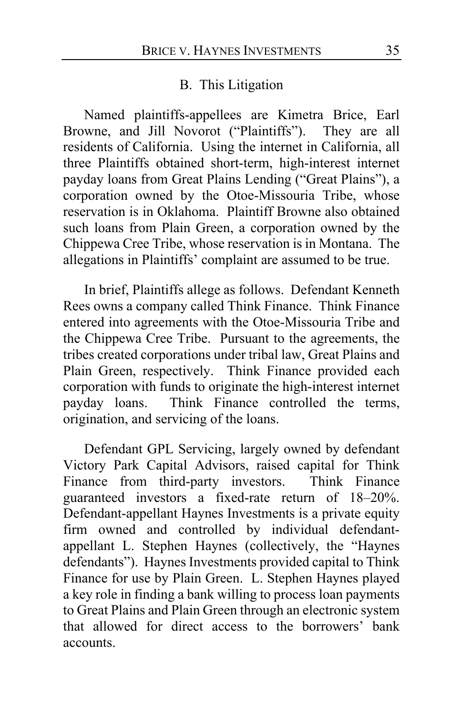#### B. This Litigation

Named plaintiffs-appellees are Kimetra Brice, Earl Browne, and Jill Novorot ("Plaintiffs"). They are all residents of California. Using the internet in California, all three Plaintiffs obtained short-term, high-interest internet payday loans from Great Plains Lending ("Great Plains"), a corporation owned by the Otoe-Missouria Tribe, whose reservation is in Oklahoma. Plaintiff Browne also obtained such loans from Plain Green, a corporation owned by the Chippewa Cree Tribe, whose reservation is in Montana. The allegations in Plaintiffs' complaint are assumed to be true.

In brief, Plaintiffs allege as follows. Defendant Kenneth Rees owns a company called Think Finance. Think Finance entered into agreements with the Otoe-Missouria Tribe and the Chippewa Cree Tribe. Pursuant to the agreements, the tribes created corporations under tribal law, Great Plains and Plain Green, respectively. Think Finance provided each corporation with funds to originate the high-interest internet payday loans.Think Finance controlled the terms, origination, and servicing of the loans.

Defendant GPL Servicing, largely owned by defendant Victory Park Capital Advisors, raised capital for Think Finance from third-party investors. Think Finance guaranteed investors a fixed-rate return of 18–20%. Defendant-appellant Haynes Investments is a private equity firm owned and controlled by individual defendantappellant L. Stephen Haynes (collectively, the "Haynes defendants"). Haynes Investments provided capital to Think Finance for use by Plain Green. L. Stephen Haynes played a key role in finding a bank willing to process loan payments to Great Plains and Plain Green through an electronic system that allowed for direct access to the borrowers' bank accounts.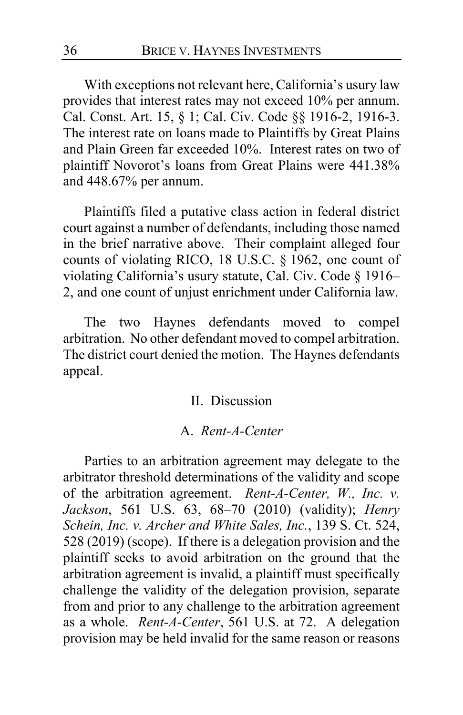With exceptions not relevant here, California's usury law provides that interest rates may not exceed 10% per annum. Cal. Const. Art. 15, § 1; Cal. Civ. Code §§ 1916-2, 1916-3. The interest rate on loans made to Plaintiffs by Great Plains and Plain Green far exceeded 10%. Interest rates on two of plaintiff Novorot's loans from Great Plains were 441.38% and 448.67% per annum.

Plaintiffs filed a putative class action in federal district court against a number of defendants, including those named in the brief narrative above. Their complaint alleged four counts of violating RICO, 18 U.S.C. § 1962, one count of violating California's usury statute, Cal. Civ. Code § 1916– 2, and one count of unjust enrichment under California law.

The two Haynes defendants moved to compel arbitration. No other defendant moved to compel arbitration. The district court denied the motion. The Haynes defendants appeal.

#### II. Discussion

#### A. *Rent-A-Center*

Parties to an arbitration agreement may delegate to the arbitrator threshold determinations of the validity and scope of the arbitration agreement. *Rent-A-Center, W., Inc. v. Jackson*, 561 U.S. 63, 68–70 (2010) (validity); *Henry Schein, Inc. v. Archer and White Sales, Inc.*, 139 S. Ct. 524, 528 (2019) (scope). If there is a delegation provision and the plaintiff seeks to avoid arbitration on the ground that the arbitration agreement is invalid, a plaintiff must specifically challenge the validity of the delegation provision, separate from and prior to any challenge to the arbitration agreement as a whole. *Rent-A-Center*, 561 U.S. at 72. A delegation provision may be held invalid for the same reason or reasons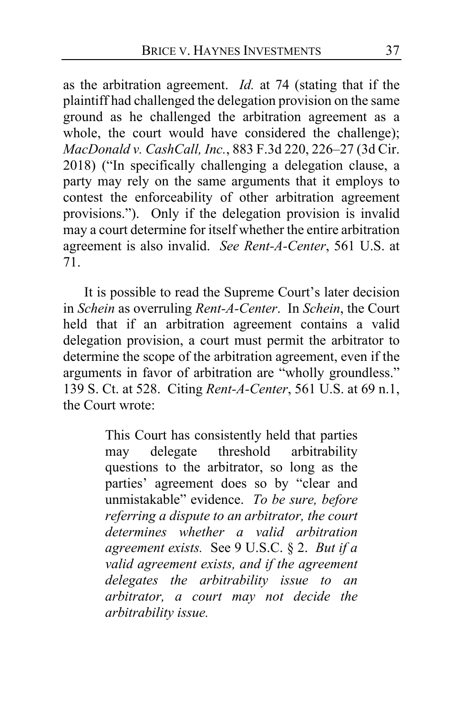as the arbitration agreement. *Id.* at 74 (stating that if the plaintiff had challenged the delegation provision on the same ground as he challenged the arbitration agreement as a whole, the court would have considered the challenge); *MacDonald v. CashCall, Inc.*, 883 F.3d 220, 226–27 (3d Cir. 2018) ("In specifically challenging a delegation clause, a party may rely on the same arguments that it employs to contest the enforceability of other arbitration agreement provisions."). Only if the delegation provision is invalid may a court determine for itself whether the entire arbitration agreement is also invalid. *See Rent-A-Center*, 561 U.S. at 71.

It is possible to read the Supreme Court's later decision in *Schein* as overruling *Rent-A-Center*. In *Schein*, the Court held that if an arbitration agreement contains a valid delegation provision, a court must permit the arbitrator to determine the scope of the arbitration agreement, even if the arguments in favor of arbitration are "wholly groundless." 139 S. Ct. at 528. Citing *Rent-A-Center*, 561 U.S. at 69 n.1, the Court wrote:

> This Court has consistently held that parties may delegate threshold arbitrability questions to the arbitrator, so long as the parties' agreement does so by "clear and unmistakable" evidence. *To be sure, before referring a dispute to an arbitrator, the court determines whether a valid arbitration agreement exists.* See 9 U.S.C. § 2. *But if a valid agreement exists, and if the agreement delegates the arbitrability issue to an arbitrator, a court may not decide the arbitrability issue.*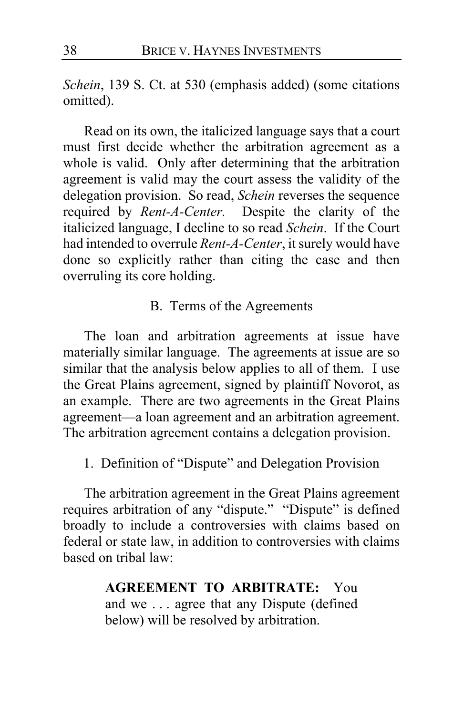*Schein*, 139 S. Ct. at 530 (emphasis added) (some citations omitted).

Read on its own, the italicized language says that a court must first decide whether the arbitration agreement as a whole is valid. Only after determining that the arbitration agreement is valid may the court assess the validity of the delegation provision. So read, *Schein* reverses the sequence required by *Rent-A-Center.* Despite the clarity of the italicized language, I decline to so read *Schein*. If the Court had intended to overrule *Rent-A-Center*, it surely would have done so explicitly rather than citing the case and then overruling its core holding.

### B. Terms of the Agreements

The loan and arbitration agreements at issue have materially similar language. The agreements at issue are so similar that the analysis below applies to all of them. I use the Great Plains agreement, signed by plaintiff Novorot, as an example. There are two agreements in the Great Plains agreement—a loan agreement and an arbitration agreement. The arbitration agreement contains a delegation provision.

1. Definition of "Dispute" and Delegation Provision

The arbitration agreement in the Great Plains agreement requires arbitration of any "dispute." "Dispute" is defined broadly to include a controversies with claims based on federal or state law, in addition to controversies with claims based on tribal law:

> **AGREEMENT TO ARBITRATE:** You and we . . . agree that any Dispute (defined below) will be resolved by arbitration.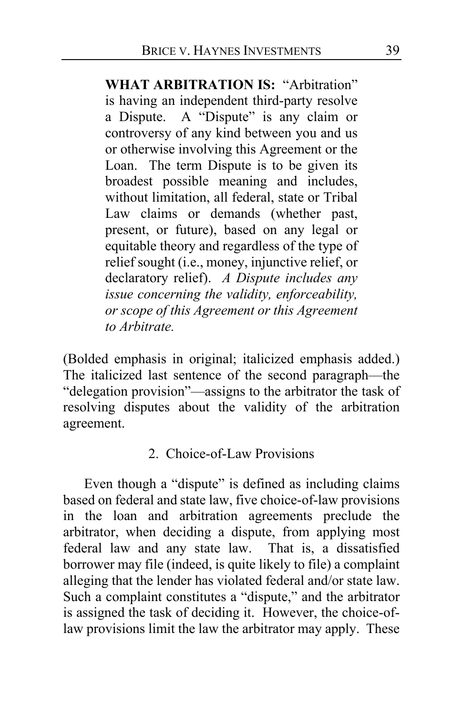**WHAT ARBITRATION IS:** "Arbitration" is having an independent third-party resolve a Dispute. A "Dispute" is any claim or controversy of any kind between you and us or otherwise involving this Agreement or the Loan. The term Dispute is to be given its broadest possible meaning and includes, without limitation, all federal, state or Tribal Law claims or demands (whether past, present, or future), based on any legal or equitable theory and regardless of the type of relief sought (i.e., money, injunctive relief, or declaratory relief). *A Dispute includes any issue concerning the validity, enforceability, or scope of this Agreement or this Agreement to Arbitrate.*

(Bolded emphasis in original; italicized emphasis added.) The italicized last sentence of the second paragraph—the "delegation provision"—assigns to the arbitrator the task of resolving disputes about the validity of the arbitration agreement.

### 2. Choice-of-Law Provisions

Even though a "dispute" is defined as including claims based on federal and state law, five choice-of-law provisions in the loan and arbitration agreements preclude the arbitrator, when deciding a dispute, from applying most federal law and any state law. That is, a dissatisfied borrower may file (indeed, is quite likely to file) a complaint alleging that the lender has violated federal and/or state law. Such a complaint constitutes a "dispute," and the arbitrator is assigned the task of deciding it. However, the choice-oflaw provisions limit the law the arbitrator may apply. These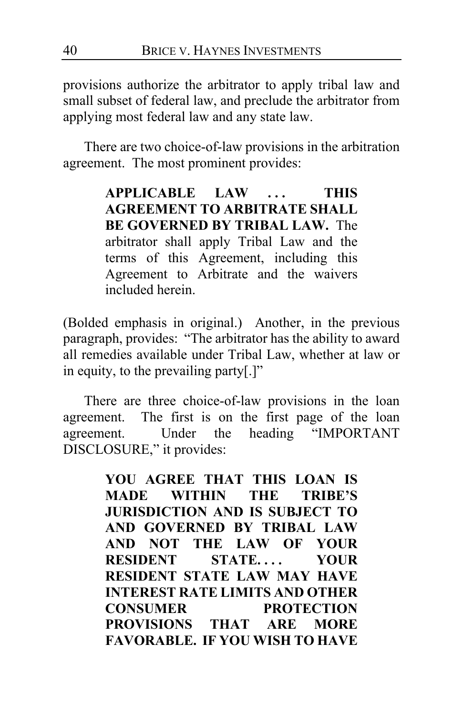provisions authorize the arbitrator to apply tribal law and small subset of federal law, and preclude the arbitrator from applying most federal law and any state law.

There are two choice-of-law provisions in the arbitration agreement. The most prominent provides:

> **APPLICABLE LAW . . . THIS AGREEMENT TO ARBITRATE SHALL BE GOVERNED BY TRIBAL LAW.** The arbitrator shall apply Tribal Law and the terms of this Agreement, including this Agreement to Arbitrate and the waivers included herein.

(Bolded emphasis in original.) Another, in the previous paragraph, provides: "The arbitrator has the ability to award all remedies available under Tribal Law, whether at law or in equity, to the prevailing party[.]"

There are three choice-of-law provisions in the loan agreement. The first is on the first page of the loan agreement. Under the heading "IMPORTANT DISCLOSURE," it provides:

> **YOU AGREE THAT THIS LOAN IS MADE WITHIN THE TRIBE'S JURISDICTION AND IS SUBJECT TO AND GOVERNED BY TRIBAL LAW AND NOT THE LAW OF YOUR RESIDENT STATE. . . . YOUR RESIDENT STATE LAW MAY HAVE INTEREST RATE LIMITS AND OTHER CONSUMER PROTECTION PROVISIONS THAT ARE MORE FAVORABLE. IF YOU WISH TO HAVE**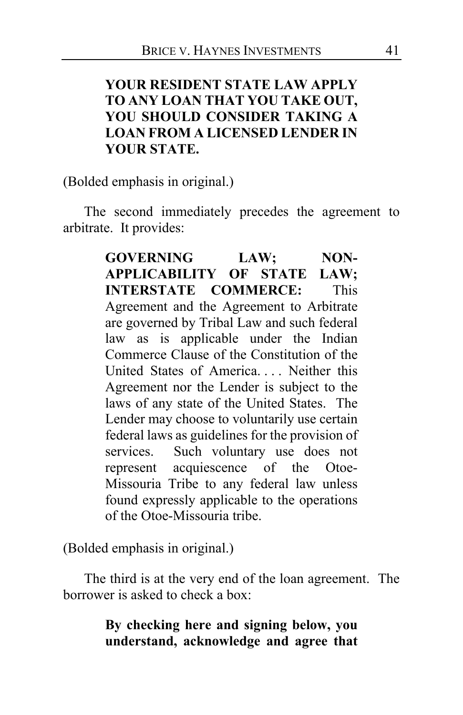## **YOUR RESIDENT STATE LAW APPLY TO ANY LOAN THAT YOU TAKE OUT, YOU SHOULD CONSIDER TAKING A LOAN FROM A LICENSED LENDER IN YOUR STATE.**

(Bolded emphasis in original.)

The second immediately precedes the agreement to arbitrate. It provides:

> **GOVERNING LAW; NON-APPLICABILITY OF STATE LAW; INTERSTATE COMMERCE:** This Agreement and the Agreement to Arbitrate are governed by Tribal Law and such federal law as is applicable under the Indian Commerce Clause of the Constitution of the United States of America. . . . Neither this Agreement nor the Lender is subject to the laws of any state of the United States. The Lender may choose to voluntarily use certain federal laws as guidelines for the provision of services. Such voluntary use does not represent acquiescence of the Otoe-Missouria Tribe to any federal law unless found expressly applicable to the operations of the Otoe-Missouria tribe.

(Bolded emphasis in original.)

The third is at the very end of the loan agreement. The borrower is asked to check a box:

## **By checking here and signing below, you understand, acknowledge and agree that**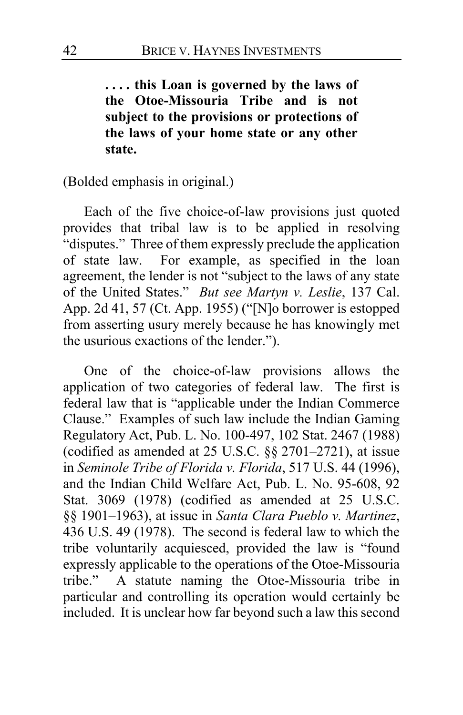**. . . . this Loan is governed by the laws of the Otoe-Missouria Tribe and is not subject to the provisions or protections of the laws of your home state or any other state.**

(Bolded emphasis in original.)

Each of the five choice-of-law provisions just quoted provides that tribal law is to be applied in resolving "disputes." Three of them expressly preclude the application of state law. For example, as specified in the loan agreement, the lender is not "subject to the laws of any state of the United States." *But see Martyn v. Leslie*, 137 Cal. App. 2d 41, 57 (Ct. App. 1955) ("[N]o borrower is estopped from asserting usury merely because he has knowingly met the usurious exactions of the lender.").

One of the choice-of-law provisions allows the application of two categories of federal law. The first is federal law that is "applicable under the Indian Commerce Clause." Examples of such law include the Indian Gaming Regulatory Act, Pub. L. No. 100-497, 102 Stat. 2467 (1988) (codified as amended at 25 U.S.C. §§ 2701–2721), at issue in *Seminole Tribe of Florida v. Florida*, 517 U.S. 44 (1996), and the Indian Child Welfare Act, Pub. L. No. 95-608, 92 Stat. 3069 (1978) (codified as amended at 25 U.S.C. §§ 1901–1963), at issue in *Santa Clara Pueblo v. Martinez*, 436 U.S. 49 (1978). The second is federal law to which the tribe voluntarily acquiesced, provided the law is "found expressly applicable to the operations of the Otoe-Missouria tribe." A statute naming the Otoe-Missouria tribe in particular and controlling its operation would certainly be included. It is unclear how far beyond such a law this second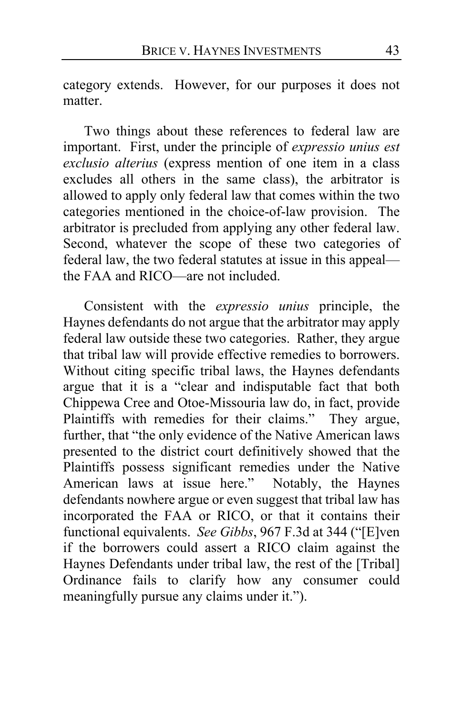category extends. However, for our purposes it does not matter.

Two things about these references to federal law are important. First, under the principle of *expressio unius est exclusio alterius* (express mention of one item in a class excludes all others in the same class), the arbitrator is allowed to apply only federal law that comes within the two categories mentioned in the choice-of-law provision. The arbitrator is precluded from applying any other federal law. Second, whatever the scope of these two categories of federal law, the two federal statutes at issue in this appeal the FAA and RICO—are not included.

Consistent with the *expressio unius* principle, the Haynes defendants do not argue that the arbitrator may apply federal law outside these two categories. Rather, they argue that tribal law will provide effective remedies to borrowers. Without citing specific tribal laws, the Haynes defendants argue that it is a "clear and indisputable fact that both Chippewa Cree and Otoe-Missouria law do, in fact, provide Plaintiffs with remedies for their claims." They argue, further, that "the only evidence of the Native American laws presented to the district court definitively showed that the Plaintiffs possess significant remedies under the Native American laws at issue here." Notably, the Haynes defendants nowhere argue or even suggest that tribal law has incorporated the FAA or RICO, or that it contains their functional equivalents. *See Gibbs*, 967 F.3d at 344 ("[E]ven if the borrowers could assert a RICO claim against the Haynes Defendants under tribal law, the rest of the [Tribal] Ordinance fails to clarify how any consumer could meaningfully pursue any claims under it.").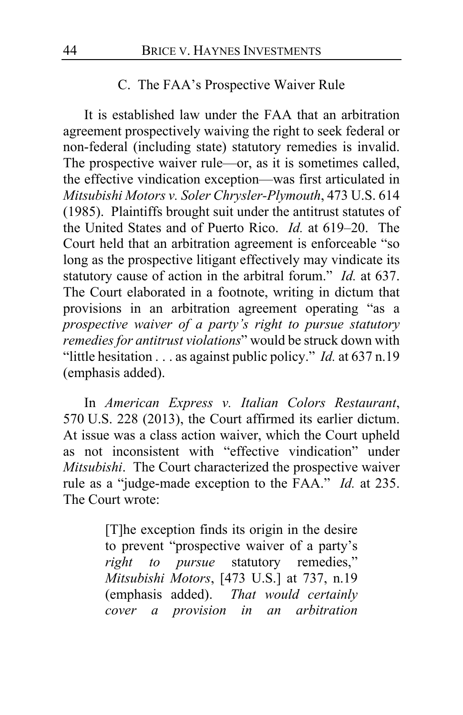### C. The FAA's Prospective Waiver Rule

<span id="page-43-0"></span>It is established law under the FAA that an arbitration agreement prospectively waiving the right to seek federal or non-federal (including state) statutory remedies is invalid. The prospective waiver rule—or, as it is sometimes called, the effective vindication exception—was first articulated in *Mitsubishi Motors v. Soler Chrysler-Plymouth*, 473 U.S. 614 (1985). Plaintiffs brought suit under the antitrust statutes of the United States and of Puerto Rico. *Id.* at 619–20. The Court held that an arbitration agreement is enforceable "so long as the prospective litigant effectively may vindicate its statutory cause of action in the arbitral forum." *Id.* at 637. The Court elaborated in a footnote, writing in dictum that provisions in an arbitration agreement operating "as a *prospective waiver of a party's right to pursue statutory remedies for antitrust violations*" would be struck down with "little hesitation . . . as against public policy." *Id.* at 637 n.19 (emphasis added).

In *American Express v. Italian Colors Restaurant*, 570 U.S. 228 (2013), the Court affirmed its earlier dictum. At issue was a class action waiver, which the Court upheld as not inconsistent with "effective vindication" under *Mitsubishi*. The Court characterized the prospective waiver rule as a "judge-made exception to the FAA." *Id.* at 235. The Court wrote:

> [T]he exception finds its origin in the desire to prevent "prospective waiver of a party's *right to pursue* statutory remedies," *Mitsubishi Motors*, [473 U.S.] at 737, n.19 (emphasis added). *That would certainly cover a provision in an arbitration*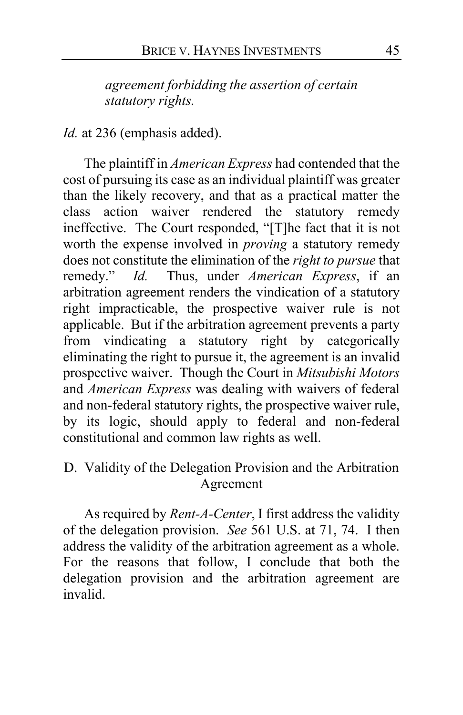*agreement forbidding the assertion of certain statutory rights.*

*Id.* at 236 (emphasis added).

The plaintiff in *American Express* had contended that the cost of pursuing its case as an individual plaintiff was greater than the likely recovery, and that as a practical matter the class action waiver rendered the statutory remedy ineffective. The Court responded, "[T]he fact that it is not worth the expense involved in *proving* a statutory remedy does not constitute the elimination of the *right to pursue* that remedy." *Id.* Thus, under *American Express*, if an arbitration agreement renders the vindication of a statutory right impracticable, the prospective waiver rule is not applicable. But if the arbitration agreement prevents a party from vindicating a statutory right by categorically eliminating the right to pursue it, the agreement is an invalid prospective waiver. Though the Court in *Mitsubishi Motors* and *American Express* was dealing with waivers of federal and non-federal statutory rights, the prospective waiver rule, by its logic, should apply to federal and non-federal constitutional and common law rights as well.

<span id="page-44-0"></span>D. Validity of the Delegation Provision and the Arbitration Agreement

As required by *Rent-A-Center*, I first address the validity of the delegation provision. *See* 561 U.S. at 71, 74. I then address the validity of the arbitration agreement as a whole. For the reasons that follow, I conclude that both the delegation provision and the arbitration agreement are invalid.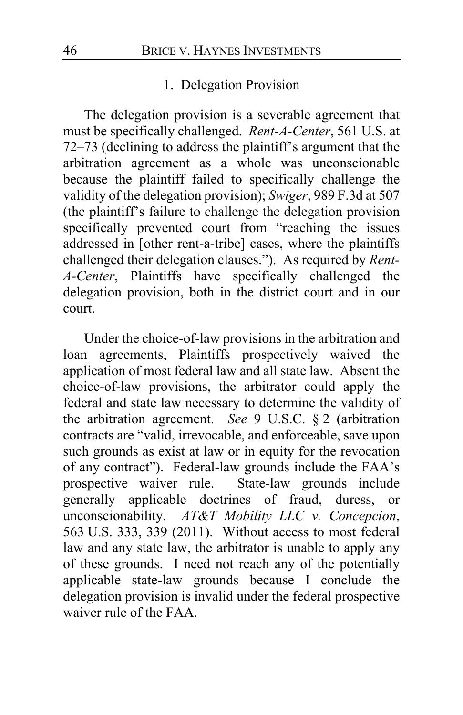#### 1. Delegation Provision

The delegation provision is a severable agreement that must be specifically challenged. *Rent-A-Center*, 561 U.S. at 72–73 (declining to address the plaintiff's argument that the arbitration agreement as a whole was unconscionable because the plaintiff failed to specifically challenge the validity of the delegation provision); *Swiger*, 989 F.3d at 507 (the plaintiff's failure to challenge the delegation provision specifically prevented court from "reaching the issues addressed in [other rent-a-tribe] cases, where the plaintiffs challenged their delegation clauses."). As required by *Rent-A-Center*, Plaintiffs have specifically challenged the delegation provision, both in the district court and in our court.

Under the choice-of-law provisions in the arbitration and loan agreements, Plaintiffs prospectively waived the application of most federal law and all state law. Absent the choice-of-law provisions, the arbitrator could apply the federal and state law necessary to determine the validity of the arbitration agreement. *See* 9 U.S.C. § 2 (arbitration contracts are "valid, irrevocable, and enforceable, save upon such grounds as exist at law or in equity for the revocation of any contract"). Federal-law grounds include the FAA's prospective waiver rule. State-law grounds include generally applicable doctrines of fraud, duress, or unconscionability. *AT&T Mobility LLC v. Concepcion*, 563 U.S. 333, 339 (2011). Without access to most federal law and any state law, the arbitrator is unable to apply any of these grounds. I need not reach any of the potentially applicable state-law grounds because I conclude the delegation provision is invalid under the federal prospective waiver rule of the FAA.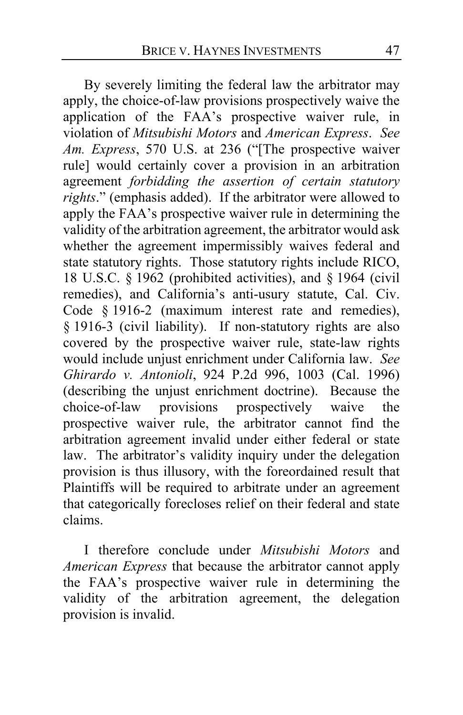By severely limiting the federal law the arbitrator may apply, the choice-of-law provisions prospectively waive the application of the FAA's prospective waiver rule, in violation of *Mitsubishi Motors* and *American Express*. *See Am. Express*, 570 U.S. at 236 ("[The prospective waiver rule] would certainly cover a provision in an arbitration agreement *forbidding the assertion of certain statutory rights*." (emphasis added). If the arbitrator were allowed to apply the FAA's prospective waiver rule in determining the validity of the arbitration agreement, the arbitrator would ask whether the agreement impermissibly waives federal and state statutory rights. Those statutory rights include RICO, 18 U.S.C. § 1962 (prohibited activities), and § 1964 (civil remedies), and California's anti-usury statute, Cal. Civ. Code § 1916-2 (maximum interest rate and remedies), § 1916-3 (civil liability). If non-statutory rights are also covered by the prospective waiver rule, state-law rights would include unjust enrichment under California law. *See Ghirardo v. Antonioli*, 924 P.2d 996, 1003 (Cal. 1996) (describing the unjust enrichment doctrine). Because the choice-of-law provisions prospectively waive the prospective waiver rule, the arbitrator cannot find the arbitration agreement invalid under either federal or state law. The arbitrator's validity inquiry under the delegation provision is thus illusory, with the foreordained result that Plaintiffs will be required to arbitrate under an agreement that categorically forecloses relief on their federal and state claims.

<span id="page-46-0"></span>I therefore conclude under *Mitsubishi Motors* and *American Express* that because the arbitrator cannot apply the FAA's prospective waiver rule in determining the validity of the arbitration agreement, the delegation provision is invalid.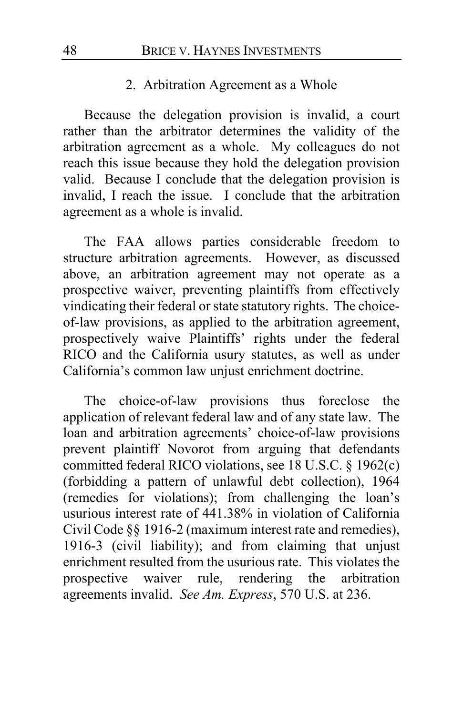#### 2. Arbitration Agreement as a Whole

Because the delegation provision is invalid, a court rather than the arbitrator determines the validity of the arbitration agreement as a whole. My colleagues do not reach this issue because they hold the delegation provision valid. Because I conclude that the delegation provision is invalid, I reach the issue. I conclude that the arbitration agreement as a whole is invalid.

The FAA allows parties considerable freedom to structure arbitration agreements. However, as discussed above, an arbitration agreement may not operate as a prospective waiver, preventing plaintiffs from effectively vindicating their federal or state statutory rights. The choiceof-law provisions, as applied to the arbitration agreement, prospectively waive Plaintiffs' rights under the federal RICO and the California usury statutes, as well as under California's common law unjust enrichment doctrine.

The choice-of-law provisions thus foreclose the application of relevant federal law and of any state law. The loan and arbitration agreements' choice-of-law provisions prevent plaintiff Novorot from arguing that defendants committed federal RICO violations, see 18 U.S.C. § 1962(c) (forbidding a pattern of unlawful debt collection), 1964 (remedies for violations); from challenging the loan's usurious interest rate of 441.38% in violation of California Civil Code §§ 1916-2 (maximum interest rate and remedies), 1916-3 (civil liability); and from claiming that unjust enrichment resulted from the usurious rate. This violates the prospective waiver rule, rendering the arbitration agreements invalid. *See Am. Express*, 570 U.S. at 236.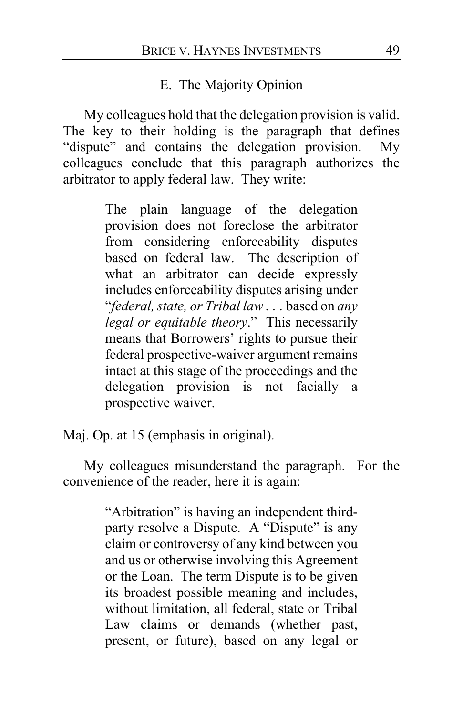#### E. The Majority Opinion

My colleagues hold that the delegation provision is valid. The key to their holding is the paragraph that defines "dispute" and contains the delegation provision. My colleagues conclude that this paragraph authorizes the arbitrator to apply federal law. They write:

> The plain language of the delegation provision does not foreclose the arbitrator from considering enforceability disputes based on federal law. The description of what an arbitrator can decide expressly includes enforceability disputes arising under "*federal, state, or Tribal law . . .* based on *any legal or equitable theory*." This necessarily means that Borrowers' rights to pursue their federal prospective-waiver argument remains intact at this stage of the proceedings and the delegation provision is not facially a prospective waiver.

Maj. Op. at [15](#page-14-0) (emphasis in original).

My colleagues misunderstand the paragraph. For the convenience of the reader, here it is again:

> "Arbitration" is having an independent thirdparty resolve a Dispute. A "Dispute" is any claim or controversy of any kind between you and us or otherwise involving this Agreement or the Loan. The term Dispute is to be given its broadest possible meaning and includes, without limitation, all federal, state or Tribal Law claims or demands (whether past, present, or future), based on any legal or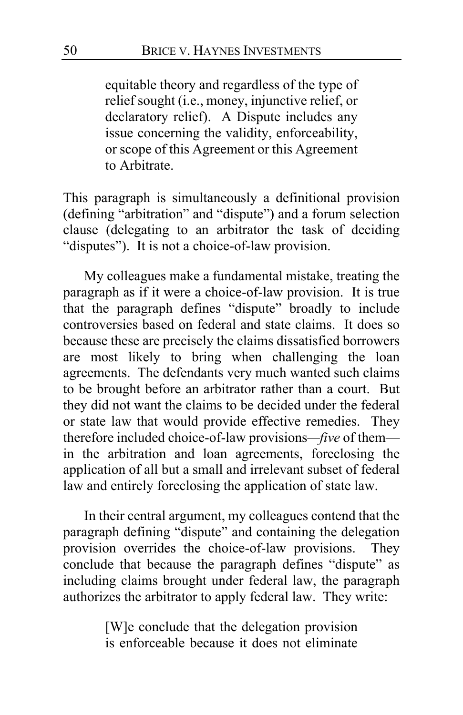equitable theory and regardless of the type of relief sought (i.e., money, injunctive relief, or declaratory relief). A Dispute includes any issue concerning the validity, enforceability, or scope of this Agreement or this Agreement to Arbitrate.

This paragraph is simultaneously a definitional provision (defining "arbitration" and "dispute") and a forum selection clause (delegating to an arbitrator the task of deciding "disputes"). It is not a choice-of-law provision.

My colleagues make a fundamental mistake, treating the paragraph as if it were a choice-of-law provision. It is true that the paragraph defines "dispute" broadly to include controversies based on federal and state claims. It does so because these are precisely the claims dissatisfied borrowers are most likely to bring when challenging the loan agreements. The defendants very much wanted such claims to be brought before an arbitrator rather than a court. But they did not want the claims to be decided under the federal or state law that would provide effective remedies. They therefore included choice-of-law provisions*—five* of them in the arbitration and loan agreements, foreclosing the application of all but a small and irrelevant subset of federal law and entirely foreclosing the application of state law.

In their central argument, my colleagues contend that the paragraph defining "dispute" and containing the delegation provision overrides the choice-of-law provisions. They conclude that because the paragraph defines "dispute" as including claims brought under federal law, the paragraph authorizes the arbitrator to apply federal law. They write:

> [W]e conclude that the delegation provision is enforceable because it does not eliminate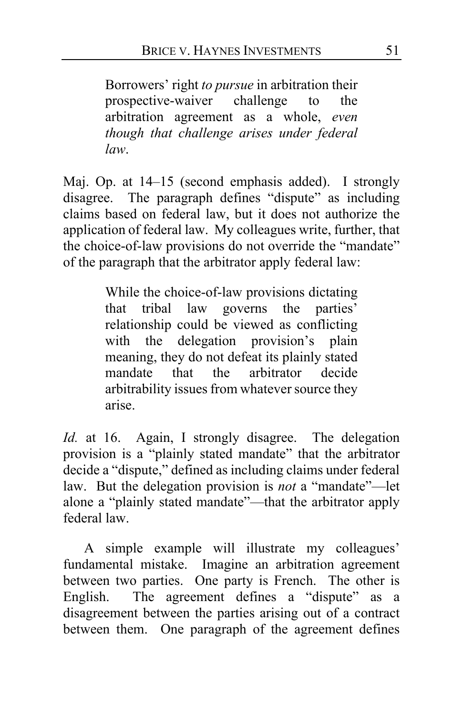Borrowers' right *to pursue* in arbitration their prospective-waiver challenge to the arbitration agreement as a whole, *even though that challenge arises under federal law*.

Maj. Op. at [14–](#page-13-0)[15](#page-14-1) (second emphasis added). I strongly disagree. The paragraph defines "dispute" as including claims based on federal law, but it does not authorize the application of federal law. My colleagues write, further, that the choice-of-law provisions do not override the "mandate" of the paragraph that the arbitrator apply federal law:

> While the choice-of-law provisions dictating<br>that tribal law governs the parties' that tribal law governs the relationship could be viewed as conflicting with the delegation provision's plain meaning, they do not defeat its plainly stated mandate that the arbitrator decide arbitrability issues from whatever source they arise.

*Id.* at [16.](#page-15-0) Again, I strongly disagree. The delegation provision is a "plainly stated mandate" that the arbitrator decide a "dispute," defined as including claims under federal law. But the delegation provision is *not* a "mandate"—let alone a "plainly stated mandate"—that the arbitrator apply federal law.

A simple example will illustrate my colleagues' fundamental mistake. Imagine an arbitration agreement between two parties. One party is French. The other is English. The agreement defines a "dispute" as a disagreement between the parties arising out of a contract between them. One paragraph of the agreement defines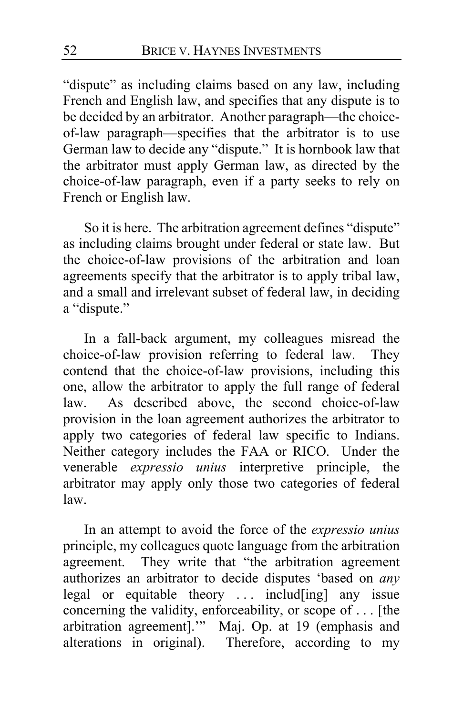"dispute" as including claims based on any law, including French and English law, and specifies that any dispute is to be decided by an arbitrator. Another paragraph—the choiceof-law paragraph—specifies that the arbitrator is to use German law to decide any "dispute." It is hornbook law that the arbitrator must apply German law, as directed by the choice-of-law paragraph, even if a party seeks to rely on French or English law.

So it is here. The arbitration agreement defines "dispute" as including claims brought under federal or state law. But the choice-of-law provisions of the arbitration and loan agreements specify that the arbitrator is to apply tribal law, and a small and irrelevant subset of federal law, in deciding a "dispute."

In a fall-back argument, my colleagues misread the choice-of-law provision referring to federal law. They contend that the choice-of-law provisions, including this one, allow the arbitrator to apply the full range of federal law. As described above, the second choice-of-law provision in the loan agreement authorizes the arbitrator to apply two categories of federal law specific to Indians. Neither category includes the FAA or RICO. Under the venerable *expressio unius* interpretive principle, the arbitrator may apply only those two categories of federal law.

In an attempt to avoid the force of the *expressio unius* principle, my colleagues quote language from the arbitration agreement. They write that "the arbitration agreement authorizes an arbitrator to decide disputes 'based on *any*  legal or equitable theory ... includ[ing] any issue concerning the validity, enforceability, or scope of . . . [the arbitration agreement].'" Maj. Op. at [19](#page-18-0) (emphasis and alterations in original). Therefore, according to my